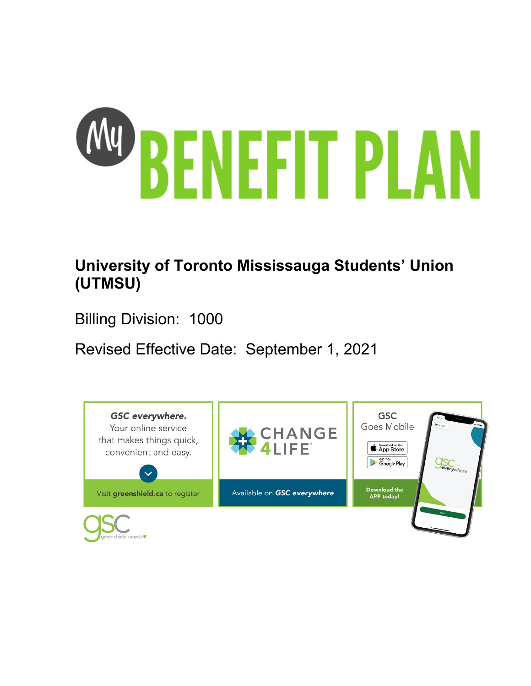

# **University of Toronto Mississauga Students' Union (UTMSU)**

Billing Division: 1000

Revised Effective Date: September 1, 2021

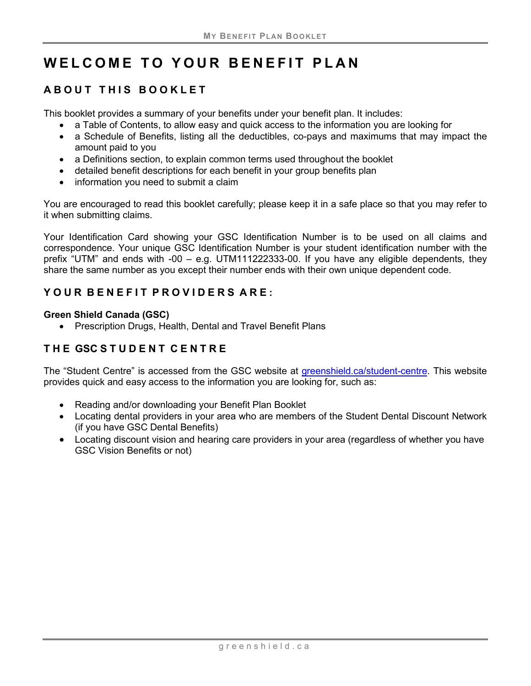# **WELCOME TO YOUR BENEFIT PLAN**

# **ABOUT THIS BOOKLET**

This booklet provides a summary of your benefits under your benefit plan. It includes:

- a Table of Contents, to allow easy and quick access to the information you are looking for
- a Schedule of Benefits, listing all the deductibles, co-pays and maximums that may impact the amount paid to you
- a Definitions section, to explain common terms used throughout the booklet
- detailed benefit descriptions for each benefit in your group benefits plan
- information you need to submit a claim

You are encouraged to read this booklet carefully; please keep it in a safe place so that you may refer to it when submitting claims.

Your Identification Card showing your GSC Identification Number is to be used on all claims and correspondence. Your unique GSC Identification Number is your student identification number with the prefix "UTM" and ends with -00 – e.g. UTM111222333-00. If you have any eligible dependents, they share the same number as you except their number ends with their own unique dependent code.

## **Y OUR B ENEFIT P ROVIDERS ARE :**

#### **Green Shield Canada (GSC)**

• Prescription Drugs, Health, Dental and Travel Benefit Plans

# **THE GSC STUDENT CENTRE**

The "Student Centre" is accessed from the GSC website at [greenshield.ca/student-centre.](http://www.greenshield.ca/en-ca/student-centre) This website provides quick and easy access to the information you are looking for, such as:

- Reading and/or downloading your Benefit Plan Booklet
- Locating dental providers in your area who are members of the Student Dental Discount Network (if you have GSC Dental Benefits)
- Locating discount vision and hearing care providers in your area (regardless of whether you have GSC Vision Benefits or not)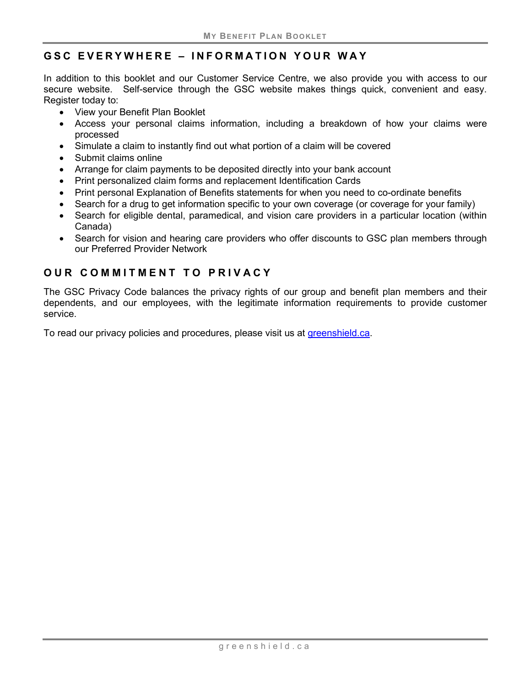## **GSC EVERYWHERE – INFORMATION YOUR WAY**

In addition to this booklet and our Customer Service Centre, we also provide you with access to our secure website. Self-service through the GSC website makes things quick, convenient and easy. Register today to:

- View your Benefit Plan Booklet
- Access your personal claims information, including a breakdown of how your claims were processed
- Simulate a claim to instantly find out what portion of a claim will be covered
- Submit claims online
- Arrange for claim payments to be deposited directly into your bank account
- Print personalized claim forms and replacement Identification Cards
- Print personal Explanation of Benefits statements for when you need to co-ordinate benefits
- Search for a drug to get information specific to your own coverage (or coverage for your family)
- Search for eligible dental, paramedical, and vision care providers in a particular location (within Canada)
- Search for vision and hearing care providers who offer discounts to GSC plan members through our Preferred Provider Network

## **OUR COMMITMENT TO PRIVACY**

The GSC Privacy Code balances the privacy rights of our group and benefit plan members and their dependents, and our employees, with the legitimate information requirements to provide customer service.

To read our privacy policies and procedures, please visit us at [greenshield.ca.](http://www.greenshield.ca/)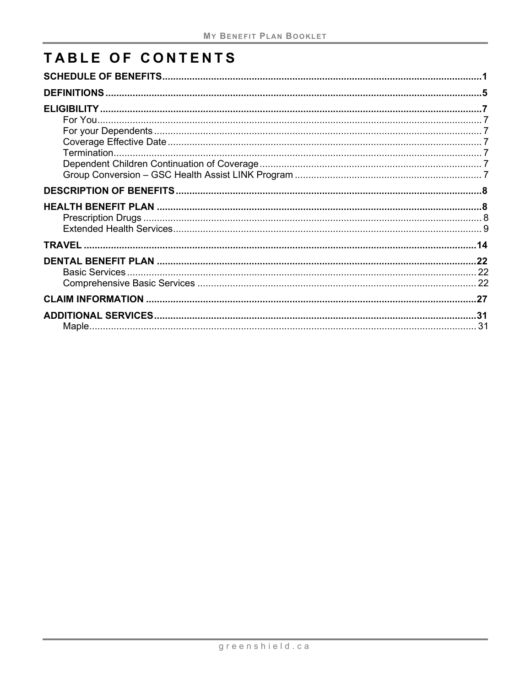# TABLE OF CONTENTS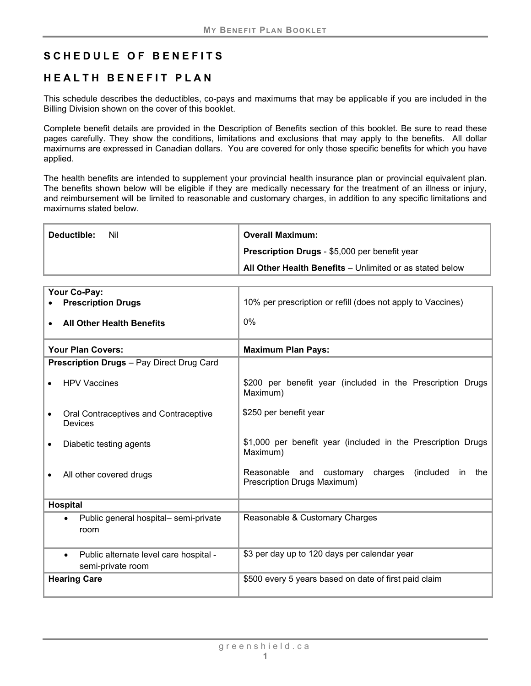## <span id="page-4-0"></span>**SCHEDULE OF BENEFITS**

## **HEALTH BENEFIT PLAN**

This schedule describes the deductibles, co-pays and maximums that may be applicable if you are included in the Billing Division shown on the cover of this booklet.

Complete benefit details are provided in the Description of Benefits section of this booklet. Be sure to read these pages carefully. They show the conditions, limitations and exclusions that may apply to the benefits. All dollar maximums are expressed in Canadian dollars. You are covered for only those specific benefits for which you have applied.

The health benefits are intended to supplement your provincial health insurance plan or provincial equivalent plan. The benefits shown below will be eligible if they are medically necessary for the treatment of an illness or injury, and reimbursement will be limited to reasonable and customary charges, in addition to any specific limitations and maximums stated below.

| Deductible:<br>Nil | <b>Overall Maximum:</b>                                  |  |  |
|--------------------|----------------------------------------------------------|--|--|
|                    | Prescription Drugs - \$5,000 per benefit year            |  |  |
|                    | All Other Health Benefits - Unlimited or as stated below |  |  |

| Your Co-Pay:<br><b>Prescription Drugs</b>                                | 10% per prescription or refill (does not apply to Vaccines)                                   |  |  |
|--------------------------------------------------------------------------|-----------------------------------------------------------------------------------------------|--|--|
| <b>All Other Health Benefits</b>                                         | $0\%$                                                                                         |  |  |
| <b>Your Plan Covers:</b>                                                 | <b>Maximum Plan Pays:</b>                                                                     |  |  |
| <b>Prescription Drugs</b> - Pay Direct Drug Card                         |                                                                                               |  |  |
| <b>HPV Vaccines</b>                                                      | \$200 per benefit year (included in the Prescription Drugs<br>Maximum)                        |  |  |
| Oral Contraceptives and Contraceptive<br><b>Devices</b>                  | \$250 per benefit year                                                                        |  |  |
| Diabetic testing agents                                                  | \$1,000 per benefit year (included in the Prescription Drugs<br>Maximum)                      |  |  |
| All other covered drugs                                                  | Reasonable and customary<br>charges<br>(included)<br>in<br>the<br>Prescription Drugs Maximum) |  |  |
| <b>Hospital</b>                                                          |                                                                                               |  |  |
| Public general hospital- semi-private<br>room                            | Reasonable & Customary Charges                                                                |  |  |
| Public alternate level care hospital -<br>$\bullet$<br>semi-private room | \$3 per day up to 120 days per calendar year                                                  |  |  |
| <b>Hearing Care</b>                                                      | \$500 every 5 years based on date of first paid claim                                         |  |  |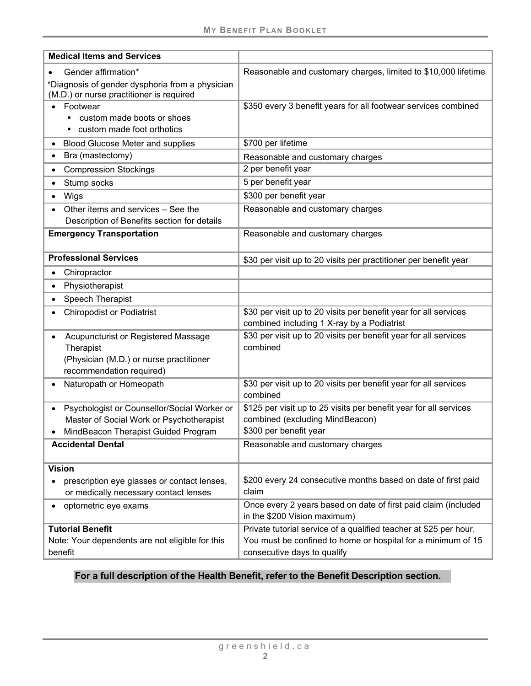| <b>Medical Items and Services</b>                                                                                                                        |                                                                                                                                                                  |
|----------------------------------------------------------------------------------------------------------------------------------------------------------|------------------------------------------------------------------------------------------------------------------------------------------------------------------|
| Gender affirmation*                                                                                                                                      | Reasonable and customary charges, limited to \$10,000 lifetime                                                                                                   |
| *Diagnosis of gender dysphoria from a physician<br>(M.D.) or nurse practitioner is required                                                              |                                                                                                                                                                  |
| Footwear<br>custom made boots or shoes<br>custom made foot orthotics                                                                                     | \$350 every 3 benefit years for all footwear services combined                                                                                                   |
| <b>Blood Glucose Meter and supplies</b><br>$\bullet$                                                                                                     | \$700 per lifetime                                                                                                                                               |
| Bra (mastectomy)<br>٠                                                                                                                                    | Reasonable and customary charges                                                                                                                                 |
| <b>Compression Stockings</b><br>$\bullet$                                                                                                                | 2 per benefit year                                                                                                                                               |
| Stump socks                                                                                                                                              | 5 per benefit year                                                                                                                                               |
| Wigs                                                                                                                                                     | \$300 per benefit year                                                                                                                                           |
| Other items and services - See the<br>Description of Benefits section for details                                                                        | Reasonable and customary charges                                                                                                                                 |
| <b>Emergency Transportation</b>                                                                                                                          | Reasonable and customary charges                                                                                                                                 |
| <b>Professional Services</b>                                                                                                                             | \$30 per visit up to 20 visits per practitioner per benefit year                                                                                                 |
| Chiropractor<br>$\bullet$                                                                                                                                |                                                                                                                                                                  |
| Physiotherapist<br>$\bullet$                                                                                                                             |                                                                                                                                                                  |
| Speech Therapist<br>$\bullet$                                                                                                                            |                                                                                                                                                                  |
| <b>Chiropodist or Podiatrist</b>                                                                                                                         | \$30 per visit up to 20 visits per benefit year for all services<br>combined including 1 X-ray by a Podiatrist                                                   |
| Acupuncturist or Registered Massage<br>$\bullet$<br>Therapist<br>(Physician (M.D.) or nurse practitioner<br>recommendation required)                     | \$30 per visit up to 20 visits per benefit year for all services<br>combined                                                                                     |
| Naturopath or Homeopath                                                                                                                                  | \$30 per visit up to 20 visits per benefit year for all services<br>combined                                                                                     |
| Psychologist or Counsellor/Social Worker or<br>$\bullet$<br>Master of Social Work or Psychotherapist<br>MindBeacon Therapist Guided Program<br>$\bullet$ | \$125 per visit up to 25 visits per benefit year for all services<br>combined (excluding MindBeacon)<br>\$300 per benefit year                                   |
| <b>Accidental Dental</b>                                                                                                                                 | Reasonable and customary charges                                                                                                                                 |
| <b>Vision</b><br>prescription eye glasses or contact lenses,<br>or medically necessary contact lenses                                                    | \$200 every 24 consecutive months based on date of first paid<br>claim                                                                                           |
| optometric eye exams<br>٠                                                                                                                                | Once every 2 years based on date of first paid claim (included<br>in the \$200 Vision maximum)                                                                   |
| <b>Tutorial Benefit</b><br>Note: Your dependents are not eligible for this<br>benefit                                                                    | Private tutorial service of a qualified teacher at \$25 per hour.<br>You must be confined to home or hospital for a minimum of 15<br>consecutive days to qualify |

## **For a full description of the Health Benefit, refer to the Benefit Description section.**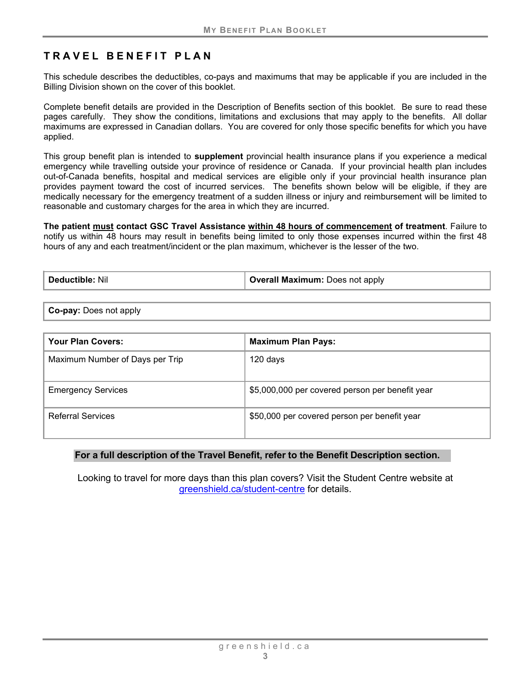# **TRAVEL BENEFIT PLAN**

This schedule describes the deductibles, co-pays and maximums that may be applicable if you are included in the Billing Division shown on the cover of this booklet.

Complete benefit details are provided in the Description of Benefits section of this booklet. Be sure to read these pages carefully. They show the conditions, limitations and exclusions that may apply to the benefits. All dollar maximums are expressed in Canadian dollars. You are covered for only those specific benefits for which you have applied.

This group benefit plan is intended to **supplement** provincial health insurance plans if you experience a medical emergency while travelling outside your province of residence or Canada. If your provincial health plan includes out-of-Canada benefits, hospital and medical services are eligible only if your provincial health insurance plan provides payment toward the cost of incurred services. The benefits shown below will be eligible, if they are medically necessary for the emergency treatment of a sudden illness or injury and reimbursement will be limited to reasonable and customary charges for the area in which they are incurred.

**The patient must contact GSC Travel Assistance within 48 hours of commencement of treatment**. Failure to notify us within 48 hours may result in benefits being limited to only those expenses incurred within the first 48 hours of any and each treatment/incident or the plan maximum, whichever is the lesser of the two.

| Deductible: Nil | <b>Overall Maximum:</b> Does not apply |
|-----------------|----------------------------------------|
|-----------------|----------------------------------------|

**Co-pay:** Does not apply

| Your Plan Covers:               | <b>Maximum Plan Pays:</b>                       |
|---------------------------------|-------------------------------------------------|
| Maximum Number of Days per Trip | 120 days                                        |
| <b>Emergency Services</b>       | \$5,000,000 per covered person per benefit year |
| <b>Referral Services</b>        | \$50,000 per covered person per benefit year    |

#### **For a full description of the Travel Benefit, refer to the Benefit Description section.**

Looking to travel for more days than this plan covers? Visit the Student Centre website at [greenshield.ca/student-centre](https://www.greenshield.ca/en-ca/student-centre) for details.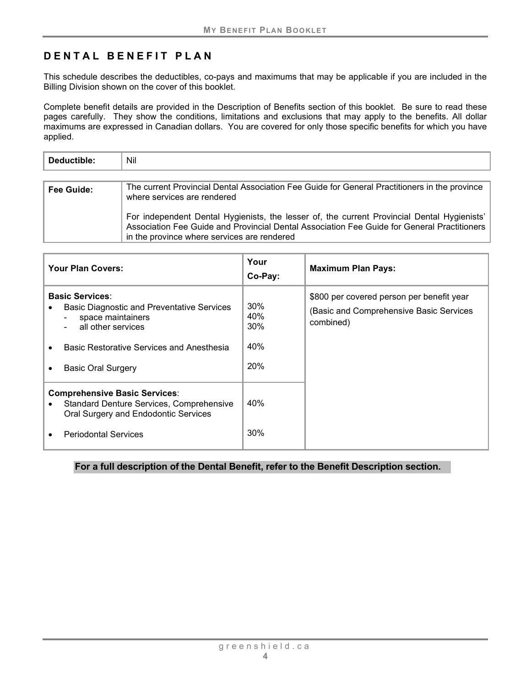## **DENTAL BENEFIT PLAN**

This schedule describes the deductibles, co-pays and maximums that may be applicable if you are included in the Billing Division shown on the cover of this booklet.

Complete benefit details are provided in the Description of Benefits section of this booklet. Be sure to read these pages carefully. They show the conditions, limitations and exclusions that may apply to the benefits. All dollar maximums are expressed in Canadian dollars. You are covered for only those specific benefits for which you have applied.

| Deductible: | Nil                                                                                                                                                                                                                                       |
|-------------|-------------------------------------------------------------------------------------------------------------------------------------------------------------------------------------------------------------------------------------------|
|             |                                                                                                                                                                                                                                           |
| Fee Guide:  | The current Provincial Dental Association Fee Guide for General Practitioners in the province<br>where services are rendered                                                                                                              |
|             | For independent Dental Hygienists, the lesser of, the current Provincial Dental Hygienists'<br>Association Fee Guide and Provincial Dental Association Fee Guide for General Practitioners<br>in the province where services are rendered |

| <b>Your Plan Covers:</b>                                                                                                                                                                                                                 | Your<br>Co-Pay:                 | <b>Maximum Plan Pays:</b>                                                                         |
|------------------------------------------------------------------------------------------------------------------------------------------------------------------------------------------------------------------------------------------|---------------------------------|---------------------------------------------------------------------------------------------------|
| <b>Basic Services:</b><br><b>Basic Diagnostic and Preventative Services</b><br>space maintainers<br>$\overline{\phantom{0}}$<br>all other services<br><b>Basic Restorative Services and Anesthesia</b><br><b>Basic Oral Surgery</b><br>٠ | 30%<br>40%<br>30%<br>40%<br>20% | \$800 per covered person per benefit year<br>(Basic and Comprehensive Basic Services<br>combined) |
| <b>Comprehensive Basic Services:</b><br><b>Standard Denture Services, Comprehensive</b><br>Oral Surgery and Endodontic Services<br><b>Periodontal Services</b>                                                                           | 40%<br>30%                      |                                                                                                   |

**For a full description of the Dental Benefit, refer to the Benefit Description section.**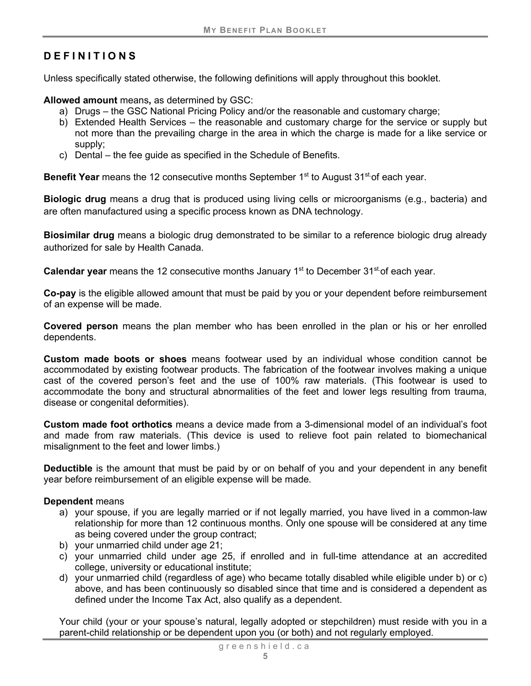# <span id="page-8-0"></span>**DEFINITIONS**

Unless specifically stated otherwise, the following definitions will apply throughout this booklet.

**Allowed amount** means**,** as determined by GSC:

- a) Drugs the GSC National Pricing Policy and/or the reasonable and customary charge;
- b) Extended Health Services the reasonable and customary charge for the service or supply but not more than the prevailing charge in the area in which the charge is made for a like service or supply;
- c) Dental the fee guide as specified in the Schedule of Benefits.

**Benefit Year** means the 12 consecutive months September 1<sup>st</sup> to August 31<sup>st</sup> of each year.

**Biologic drug** means a drug that is produced using living cells or microorganisms (e.g., bacteria) and are often manufactured using a specific process known as DNA technology.

**Biosimilar drug** means a biologic drug demonstrated to be similar to a reference biologic drug already authorized for sale by Health Canada.

**Calendar year** means the 12 consecutive months January 1<sup>st</sup> to December 31<sup>st</sup> of each year.

**Co-pay** is the eligible allowed amount that must be paid by you or your dependent before reimbursement of an expense will be made.

**Covered person** means the plan member who has been enrolled in the plan or his or her enrolled dependents.

**Custom made boots or shoes** means footwear used by an individual whose condition cannot be accommodated by existing footwear products. The fabrication of the footwear involves making a unique cast of the covered person's feet and the use of 100% raw materials. (This footwear is used to accommodate the bony and structural abnormalities of the feet and lower legs resulting from trauma, disease or congenital deformities).

**Custom made foot orthotics** means a device made from a 3-dimensional model of an individual's foot and made from raw materials. (This device is used to relieve foot pain related to biomechanical misalignment to the feet and lower limbs.)

**Deductible** is the amount that must be paid by or on behalf of you and your dependent in any benefit year before reimbursement of an eligible expense will be made.

## **Dependent** means

- a) your spouse, if you are legally married or if not legally married, you have lived in a common-law relationship for more than 12 continuous months. Only one spouse will be considered at any time as being covered under the group contract;
- b) your unmarried child under age 21;
- c) your unmarried child under age 25, if enrolled and in full-time attendance at an accredited college, university or educational institute;
- d) your unmarried child (regardless of age) who became totally disabled while eligible under b) or c) above, and has been continuously so disabled since that time and is considered a dependent as defined under the Income Tax Act, also qualify as a dependent.

Your child (your or your spouse's natural, legally adopted or stepchildren) must reside with you in a parent-child relationship or be dependent upon you (or both) and not regularly employed.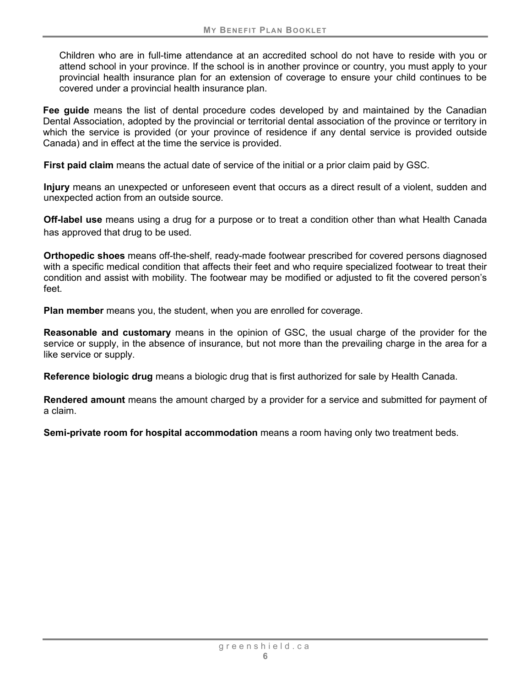Children who are in full-time attendance at an accredited school do not have to reside with you or attend school in your province. If the school is in another province or country, you must apply to your provincial health insurance plan for an extension of coverage to ensure your child continues to be covered under a provincial health insurance plan.

**Fee guide** means the list of dental procedure codes developed by and maintained by the Canadian Dental Association, adopted by the provincial or territorial dental association of the province or territory in which the service is provided (or your province of residence if any dental service is provided outside Canada) and in effect at the time the service is provided.

**First paid claim** means the actual date of service of the initial or a prior claim paid by GSC.

**Injury** means an unexpected or unforeseen event that occurs as a direct result of a violent, sudden and unexpected action from an outside source.

<span id="page-9-0"></span>**Off-label use** means using a drug for a purpose or to treat a condition other than what Health Canada has approved that drug to be used.

**Orthopedic shoes** means off-the-shelf, ready-made footwear prescribed for covered persons diagnosed with a specific medical condition that affects their feet and who require specialized footwear to treat their condition and assist with mobility. The footwear may be modified or adjusted to fit the covered person's feet.

**Plan member** means you, the student, when you are enrolled for coverage.

**Reasonable and customary** means in the opinion of GSC, the usual charge of the provider for the service or supply, in the absence of insurance, but not more than the prevailing charge in the area for a like service or supply.

**Reference biologic drug** means a biologic drug that is first authorized for sale by Health Canada.

**Rendered amount** means the amount charged by a provider for a service and submitted for payment of a claim.

**Semi-private room for hospital accommodation** means a room having only two treatment beds.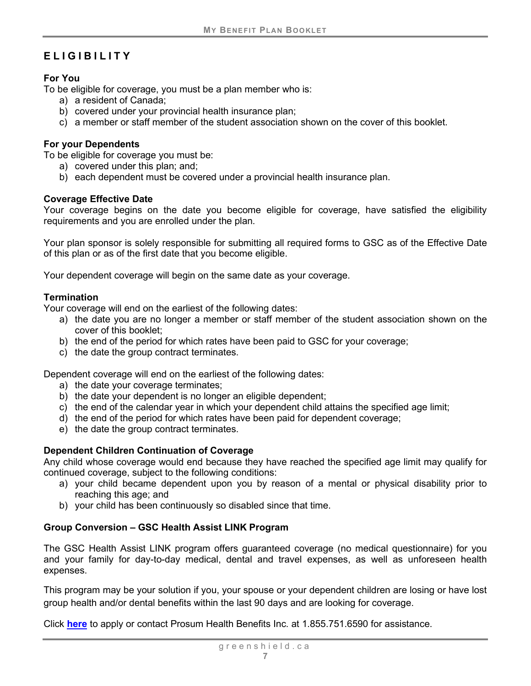# <span id="page-10-0"></span>**ELIGIBILITY**

#### <span id="page-10-1"></span>**For You**

To be eligible for coverage, you must be a plan member who is:

- a) a resident of Canada;
- b) covered under your provincial health insurance plan;
- c) a member or staff member of the student association shown on the cover of this booklet.

#### <span id="page-10-2"></span>**For your Dependents**

To be eligible for coverage you must be:

- a) covered under this plan; and;
- b) each dependent must be covered under a provincial health insurance plan.

#### <span id="page-10-3"></span>**Coverage Effective Date**

Your coverage begins on the date you become eligible for coverage, have satisfied the eligibility requirements and you are enrolled under the plan.

Your plan sponsor is solely responsible for submitting all required forms to GSC as of the Effective Date of this plan or as of the first date that you become eligible.

Your dependent coverage will begin on the same date as your coverage.

#### <span id="page-10-4"></span>**Termination**

Your coverage will end on the earliest of the following dates:

- a) the date you are no longer a member or staff member of the student association shown on the cover of this booklet;
- b) the end of the period for which rates have been paid to GSC for your coverage;
- c) the date the group contract terminates.

Dependent coverage will end on the earliest of the following dates:

- a) the date your coverage terminates;
- b) the date your dependent is no longer an eligible dependent;
- c) the end of the calendar year in which your dependent child attains the specified age limit;
- d) the end of the period for which rates have been paid for dependent coverage;
- e) the date the group contract terminates.

## <span id="page-10-5"></span>**Dependent Children Continuation of Coverage**

Any child whose coverage would end because they have reached the specified age limit may qualify for continued coverage, subject to the following conditions:

- a) your child became dependent upon you by reason of a mental or physical disability prior to reaching this age; and
- b) your child has been continuously so disabled since that time.

## <span id="page-10-6"></span>**Group Conversion – GSC Health Assist LINK Program**

The GSC Health Assist LINK program offers guaranteed coverage (no medical questionnaire) for you and your family for day-to-day medical, dental and travel expenses, as well as unforeseen health expenses.

This program may be your solution if you, your spouse or your dependent children are losing or have lost group health and/or dental benefits within the last 90 days and are looking for coverage.

Click **[here](https://mygscadvantage.ca/Quote/AllProducts?mgaid=8915&oid=GPB37&aid=PB3701)** to apply or contact Prosum Health Benefits Inc. at 1.855.751.6590 for assistance.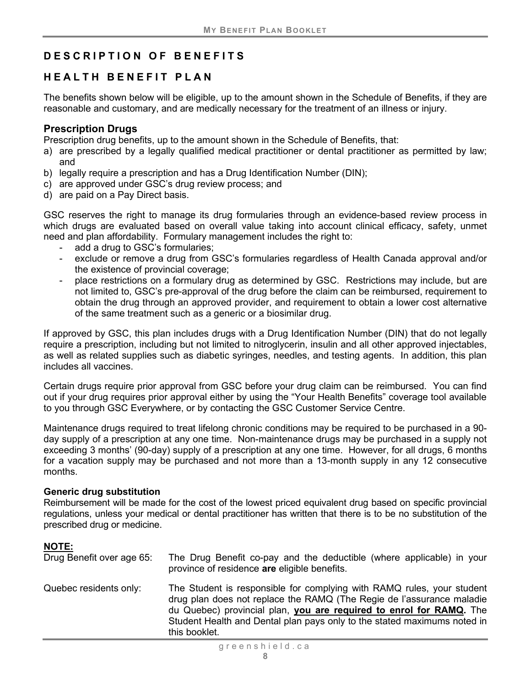# <span id="page-11-0"></span>**DES C RIPTION OF BENEFITS**

## <span id="page-11-1"></span>**HEALTH BENEFIT PLAN**

The benefits shown below will be eligible, up to the amount shown in the Schedule of Benefits, if they are reasonable and customary, and are medically necessary for the treatment of an illness or injury.

#### <span id="page-11-2"></span>**Prescription Drugs**

Prescription drug benefits, up to the amount shown in the Schedule of Benefits, that:

- a) are prescribed by a legally qualified medical practitioner or dental practitioner as permitted by law; and
- b) legally require a prescription and has a Drug Identification Number (DIN);
- c) are approved under GSC's drug review process; and
- d) are paid on a Pay Direct basis.

GSC reserves the right to manage its drug formularies through an evidence-based review process in which drugs are evaluated based on overall value taking into account clinical efficacy, safety, unmet need and plan affordability. Formulary management includes the right to:

- add a drug to GSC's formularies;
- exclude or remove a drug from GSC's formularies regardless of Health Canada approval and/or the existence of provincial coverage;
- place restrictions on a formulary drug as determined by GSC. Restrictions may include, but are not limited to, GSC's pre-approval of the drug before the claim can be reimbursed, requirement to obtain the drug through an approved provider, and requirement to obtain a lower cost alternative of the same treatment such as a generic or a biosimilar drug.

If approved by GSC, this plan includes drugs with a Drug Identification Number (DIN) that do not legally require a prescription, including but not limited to nitroglycerin, insulin and all other approved injectables, as well as related supplies such as diabetic syringes, needles, and testing agents. In addition, this plan includes all vaccines.

Certain drugs require prior approval from GSC before your drug claim can be reimbursed. You can find out if your drug requires prior approval either by using the "Your Health Benefits" coverage tool available to you through GSC Everywhere, or by contacting the GSC Customer Service Centre.

Maintenance drugs required to treat lifelong chronic conditions may be required to be purchased in a 90 day supply of a prescription at any one time. Non-maintenance drugs may be purchased in a supply not exceeding 3 months' (90-day) supply of a prescription at any one time. However, for all drugs, 6 months for a vacation supply may be purchased and not more than a 13-month supply in any 12 consecutive months.

#### **Generic drug substitution**

Reimbursement will be made for the cost of the lowest priced equivalent drug based on specific provincial regulations, unless your medical or dental practitioner has written that there is to be no substitution of the prescribed drug or medicine.

## **NOTE:**

| Drug Benefit over age 65: | The Drug Benefit co-pay and the deductible (where applicable) in your<br>province of residence are eligible benefits.                                                                                                                                                                                               |
|---------------------------|---------------------------------------------------------------------------------------------------------------------------------------------------------------------------------------------------------------------------------------------------------------------------------------------------------------------|
| Quebec residents only:    | The Student is responsible for complying with RAMQ rules, your student<br>drug plan does not replace the RAMQ (The Regie de l'assurance maladie<br>du Quebec) provincial plan, you are required to enrol for RAMQ. The<br>Student Health and Dental plan pays only to the stated maximums noted in<br>this booklet. |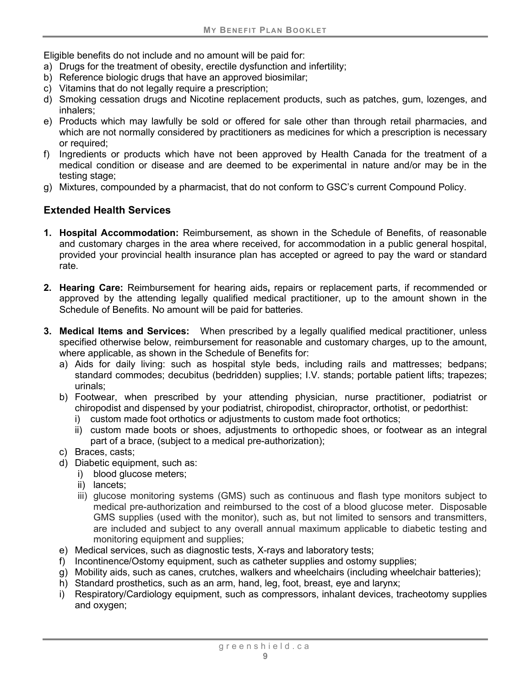Eligible benefits do not include and no amount will be paid for:

- a) Drugs for the treatment of obesity, erectile dysfunction and infertility;
- b) Reference biologic drugs that have an approved biosimilar;
- c) Vitamins that do not legally require a prescription;
- d) Smoking cessation drugs and Nicotine replacement products, such as patches, gum, lozenges, and inhalers;
- e) Products which may lawfully be sold or offered for sale other than through retail pharmacies, and which are not normally considered by practitioners as medicines for which a prescription is necessary or required;
- f) Ingredients or products which have not been approved by Health Canada for the treatment of a medical condition or disease and are deemed to be experimental in nature and/or may be in the testing stage;
- g) Mixtures, compounded by a pharmacist, that do not conform to GSC's current Compound Policy.

## <span id="page-12-0"></span>**Extended Health Services**

- **1. Hospital Accommodation:** Reimbursement, as shown in the Schedule of Benefits, of reasonable and customary charges in the area where received, for accommodation in a public general hospital, provided your provincial health insurance plan has accepted or agreed to pay the ward or standard rate.
- **2. Hearing Care:** Reimbursement for hearing aids**,** repairs or replacement parts, if recommended or approved by the attending legally qualified medical practitioner, up to the amount shown in the Schedule of Benefits. No amount will be paid for batteries.
- **3. Medical Items and Services:** When prescribed by a legally qualified medical practitioner, unless specified otherwise below, reimbursement for reasonable and customary charges, up to the amount, where applicable, as shown in the Schedule of Benefits for:
	- a) Aids for daily living: such as hospital style beds, including rails and mattresses; bedpans; standard commodes; decubitus (bedridden) supplies; I.V. stands; portable patient lifts; trapezes; urinals;
	- b) Footwear, when prescribed by your attending physician, nurse practitioner, podiatrist or chiropodist and dispensed by your podiatrist, chiropodist, chiropractor, orthotist, or pedorthist:
		- i) custom made foot orthotics or adjustments to custom made foot orthotics;
		- ii) custom made boots or shoes, adjustments to orthopedic shoes, or footwear as an integral part of a brace, (subject to a medical pre-authorization);
	- c) Braces, casts;
	- d) Diabetic equipment, such as:
		- i) blood glucose meters;
		- ii) lancets;
		- iii) glucose monitoring systems (GMS) such as continuous and flash type monitors subject to medical pre-authorization and reimbursed to the cost of a blood glucose meter. Disposable GMS supplies (used with the monitor), such as, but not limited to sensors and transmitters, are included and subject to any overall annual maximum applicable to diabetic testing and monitoring equipment and supplies;
	- e) Medical services, such as diagnostic tests, X-rays and laboratory tests;
	- f) Incontinence/Ostomy equipment, such as catheter supplies and ostomy supplies;
	- g) Mobility aids, such as canes, crutches, walkers and wheelchairs (including wheelchair batteries);
	- h) Standard prosthetics, such as an arm, hand, leg, foot, breast, eye and larynx;
	- i) Respiratory/Cardiology equipment, such as compressors, inhalant devices, tracheotomy supplies and oxygen;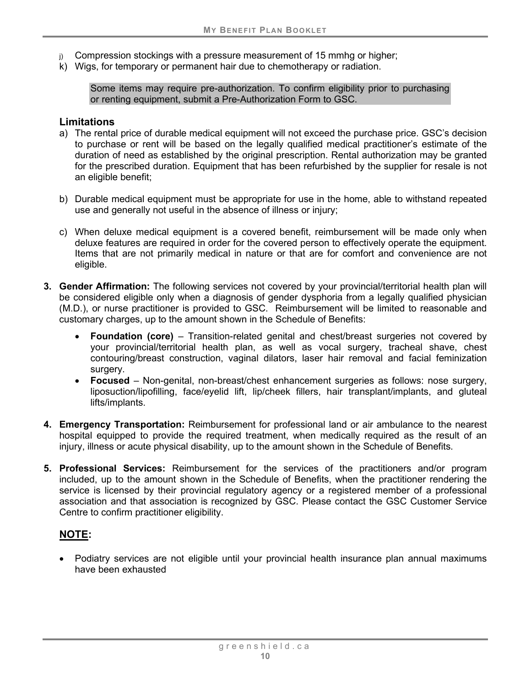- Compression stockings with a pressure measurement of 15 mmhg or higher;
- k) Wigs, for temporary or permanent hair due to chemotherapy or radiation.

Some items may require pre-authorization. To confirm eligibility prior to purchasing or renting equipment, submit a Pre-Authorization Form to GSC.

#### **Limitations**

- a) The rental price of durable medical equipment will not exceed the purchase price. GSC's decision to purchase or rent will be based on the legally qualified medical practitioner's estimate of the duration of need as established by the original prescription. Rental authorization may be granted for the prescribed duration. Equipment that has been refurbished by the supplier for resale is not an eligible benefit;
- b) Durable medical equipment must be appropriate for use in the home, able to withstand repeated use and generally not useful in the absence of illness or injury;
- c) When deluxe medical equipment is a covered benefit, reimbursement will be made only when deluxe features are required in order for the covered person to effectively operate the equipment. Items that are not primarily medical in nature or that are for comfort and convenience are not eligible.
- **3. Gender Affirmation:** The following services not covered by your provincial/territorial health plan will be considered eligible only when a diagnosis of gender dysphoria from a legally qualified physician (M.D.), or nurse practitioner is provided to GSC. Reimbursement will be limited to reasonable and customary charges, up to the amount shown in the Schedule of Benefits:
	- **Foundation (core)** Transition-related genital and chest/breast surgeries not covered by your provincial/territorial health plan, as well as vocal surgery, tracheal shave, chest contouring/breast construction, vaginal dilators, laser hair removal and facial feminization surgery.
	- **Focused**  Non-genital, non-breast/chest enhancement surgeries as follows: nose surgery, liposuction/lipofilling, face/eyelid lift, lip/cheek fillers, hair transplant/implants, and gluteal lifts/implants.
- **4. Emergency Transportation:** Reimbursement for professional land or air ambulance to the nearest hospital equipped to provide the required treatment, when medically required as the result of an injury, illness or acute physical disability, up to the amount shown in the Schedule of Benefits.
- **5. Professional Services:** Reimbursement for the services of the practitioners and/or program included, up to the amount shown in the Schedule of Benefits, when the practitioner rendering the service is licensed by their provincial regulatory agency or a registered member of a professional association and that association is recognized by GSC. Please contact the GSC Customer Service Centre to confirm practitioner eligibility.

## **NOTE:**

• Podiatry services are not eligible until your provincial health insurance plan annual maximums have been exhausted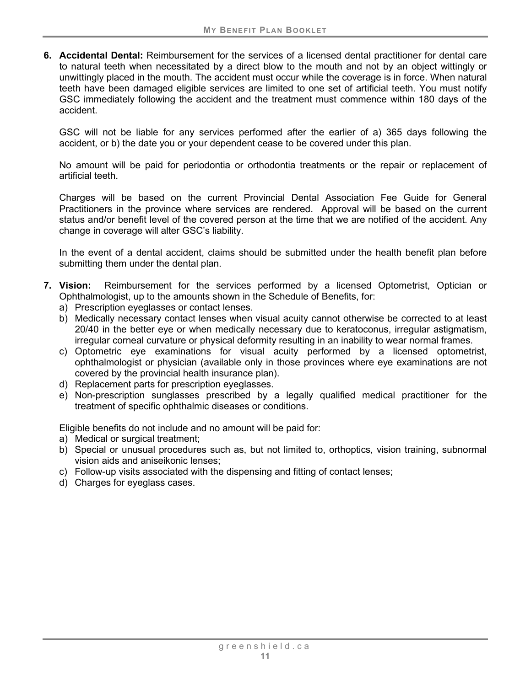**6. Accidental Dental:** Reimbursement for the services of a licensed dental practitioner for dental care to natural teeth when necessitated by a direct blow to the mouth and not by an object wittingly or unwittingly placed in the mouth. The accident must occur while the coverage is in force. When natural teeth have been damaged eligible services are limited to one set of artificial teeth. You must notify GSC immediately following the accident and the treatment must commence within 180 days of the accident.

GSC will not be liable for any services performed after the earlier of a) 365 days following the accident, or b) the date you or your dependent cease to be covered under this plan.

No amount will be paid for periodontia or orthodontia treatments or the repair or replacement of artificial teeth.

Charges will be based on the current Provincial Dental Association Fee Guide for General Practitioners in the province where services are rendered. Approval will be based on the current status and/or benefit level of the covered person at the time that we are notified of the accident. Any change in coverage will alter GSC's liability.

In the event of a dental accident, claims should be submitted under the health benefit plan before submitting them under the dental plan.

- **7. Vision:** Reimbursement for the services performed by a licensed Optometrist, Optician or Ophthalmologist, up to the amounts shown in the Schedule of Benefits, for:
	- a) Prescription eyeglasses or contact lenses.
	- b) Medically necessary contact lenses when visual acuity cannot otherwise be corrected to at least 20/40 in the better eye or when medically necessary due to keratoconus, irregular astigmatism, irregular corneal curvature or physical deformity resulting in an inability to wear normal frames.
	- c) Optometric eye examinations for visual acuity performed by a licensed optometrist, ophthalmologist or physician (available only in those provinces where eye examinations are not covered by the provincial health insurance plan).
	- d) Replacement parts for prescription eyeglasses.
	- e) Non-prescription sunglasses prescribed by a legally qualified medical practitioner for the treatment of specific ophthalmic diseases or conditions.

Eligible benefits do not include and no amount will be paid for:

- a) Medical or surgical treatment;
- b) Special or unusual procedures such as, but not limited to, orthoptics, vision training, subnormal vision aids and aniseikonic lenses;
- c) Follow-up visits associated with the dispensing and fitting of contact lenses;
- d) Charges for eyeglass cases.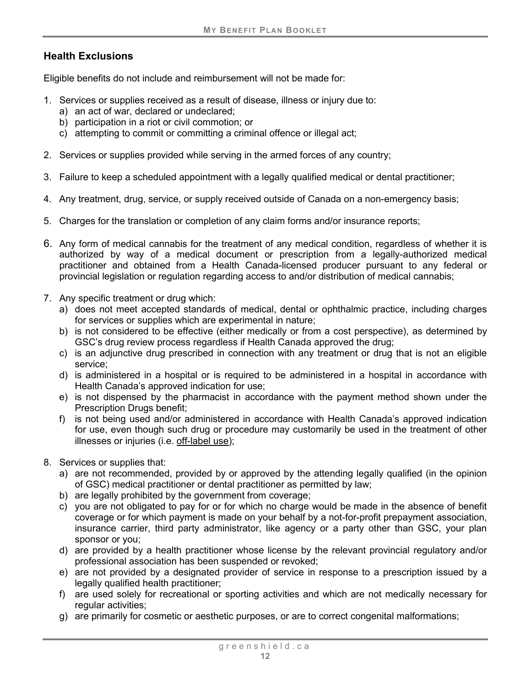## **Health Exclusions**

Eligible benefits do not include and reimbursement will not be made for:

- 1. Services or supplies received as a result of disease, illness or injury due to:
	- a) an act of war, declared or undeclared;
	- b) participation in a riot or civil commotion; or
	- c) attempting to commit or committing a criminal offence or illegal act;
- 2. Services or supplies provided while serving in the armed forces of any country;
- 3. Failure to keep a scheduled appointment with a legally qualified medical or dental practitioner;
- 4. Any treatment, drug, service, or supply received outside of Canada on a non-emergency basis;
- 5. Charges for the translation or completion of any claim forms and/or insurance reports;
- 6. Any form of medical cannabis for the treatment of any medical condition, regardless of whether it is authorized by way of a medical document or prescription from a legally-authorized medical practitioner and obtained from a Health Canada-licensed producer pursuant to any federal or provincial legislation or regulation regarding access to and/or distribution of medical cannabis;
- 7. Any specific treatment or drug which:
	- a) does not meet accepted standards of medical, dental or ophthalmic practice, including charges for services or supplies which are experimental in nature;
	- b) is not considered to be effective (either medically or from a cost perspective), as determined by GSC's drug review process regardless if Health Canada approved the drug;
	- c) is an adjunctive drug prescribed in connection with any treatment or drug that is not an eligible service;
	- d) is administered in a hospital or is required to be administered in a hospital in accordance with Health Canada's approved indication for use;
	- e) is not dispensed by the pharmacist in accordance with the payment method shown under the Prescription Drugs benefit;
	- f) is not being used and/or administered in accordance with Health Canada's approved indication for use, even though such drug or procedure may customarily be used in the treatment of other illnesses or injuries (i.e. [off-label use\)](#page-9-0);
- 8. Services or supplies that:
	- a) are not recommended, provided by or approved by the attending legally qualified (in the opinion of GSC) medical practitioner or dental practitioner as permitted by law;
	- b) are legally prohibited by the government from coverage;
	- c) you are not obligated to pay for or for which no charge would be made in the absence of benefit coverage or for which payment is made on your behalf by a not-for-profit prepayment association, insurance carrier, third party administrator, like agency or a party other than GSC, your plan sponsor or you;
	- d) are provided by a health practitioner whose license by the relevant provincial regulatory and/or professional association has been suspended or revoked;
	- e) are not provided by a designated provider of service in response to a prescription issued by a legally qualified health practitioner;
	- f) are used solely for recreational or sporting activities and which are not medically necessary for regular activities;
	- g) are primarily for cosmetic or aesthetic purposes, or are to correct congenital malformations;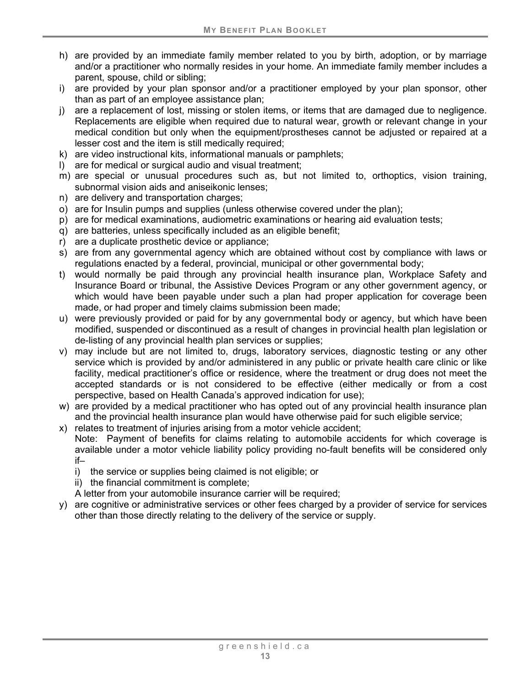- h) are provided by an immediate family member related to you by birth, adoption, or by marriage and/or a practitioner who normally resides in your home. An immediate family member includes a parent, spouse, child or sibling;
- i) are provided by your plan sponsor and/or a practitioner employed by your plan sponsor, other than as part of an employee assistance plan;
- j) are a replacement of lost, missing or stolen items, or items that are damaged due to negligence. Replacements are eligible when required due to natural wear, growth or relevant change in your medical condition but only when the equipment/prostheses cannot be adjusted or repaired at a lesser cost and the item is still medically required;
- k) are video instructional kits, informational manuals or pamphlets;
- l) are for medical or surgical audio and visual treatment;
- m) are special or unusual procedures such as, but not limited to, orthoptics, vision training, subnormal vision aids and aniseikonic lenses;
- n) are delivery and transportation charges;
- o) are for Insulin pumps and supplies (unless otherwise covered under the plan);
- p) are for medical examinations, audiometric examinations or hearing aid evaluation tests;
- q) are batteries, unless specifically included as an eligible benefit;
- r) are a duplicate prosthetic device or appliance;
- s) are from any governmental agency which are obtained without cost by compliance with laws or regulations enacted by a federal, provincial, municipal or other governmental body;
- t) would normally be paid through any provincial health insurance plan, Workplace Safety and Insurance Board or tribunal, the Assistive Devices Program or any other government agency, or which would have been payable under such a plan had proper application for coverage been made, or had proper and timely claims submission been made;
- u) were previously provided or paid for by any governmental body or agency, but which have been modified, suspended or discontinued as a result of changes in provincial health plan legislation or de-listing of any provincial health plan services or supplies;
- v) may include but are not limited to, drugs, laboratory services, diagnostic testing or any other service which is provided by and/or administered in any public or private health care clinic or like facility, medical practitioner's office or residence, where the treatment or drug does not meet the accepted standards or is not considered to be effective (either medically or from a cost perspective, based on Health Canada's approved indication for use);
- w) are provided by a medical practitioner who has opted out of any provincial health insurance plan and the provincial health insurance plan would have otherwise paid for such eligible service;
- x) relates to treatment of injuries arising from a motor vehicle accident; Note: Payment of benefits for claims relating to automobile accidents for which coverage is
- available under a motor vehicle liability policy providing no-fault benefits will be considered only if–
	- i) the service or supplies being claimed is not eligible; or
	- ii) the financial commitment is complete;
	- A letter from your automobile insurance carrier will be required;
- y) are cognitive or administrative services or other fees charged by a provider of service for services other than those directly relating to the delivery of the service or supply.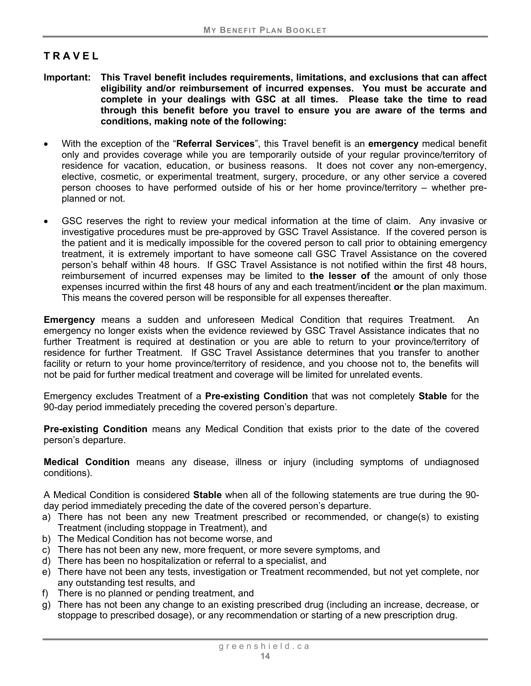## <span id="page-17-0"></span>**TRAVEL**

- **Important: This Travel benefit includes requirements, limitations, and exclusions that can affect eligibility and/or reimbursement of incurred expenses. You must be accurate and complete in your dealings with GSC at all times. Please take the time to read through this benefit before you travel to ensure you are aware of the terms and conditions, making note of the following:**
- With the exception of the "**Referral Services**", this Travel benefit is an **emergency** medical benefit only and provides coverage while you are temporarily outside of your regular province/territory of residence for vacation, education, or business reasons. It does not cover any non-emergency, elective, cosmetic, or experimental treatment, surgery, procedure, or any other service a covered person chooses to have performed outside of his or her home province/territory – whether preplanned or not.
- GSC reserves the right to review your medical information at the time of claim. Any invasive or investigative procedures must be pre-approved by GSC Travel Assistance. If the covered person is the patient and it is medically impossible for the covered person to call prior to obtaining emergency treatment, it is extremely important to have someone call GSC Travel Assistance on the covered person's behalf within 48 hours. If GSC Travel Assistance is not notified within the first 48 hours, reimbursement of incurred expenses may be limited to **the lesser of** the amount of only those expenses incurred within the first 48 hours of any and each treatment/incident **or** the plan maximum. This means the covered person will be responsible for all expenses thereafter.

**Emergency** means a sudden and unforeseen Medical Condition that requires Treatment. An emergency no longer exists when the evidence reviewed by GSC Travel Assistance indicates that no further Treatment is required at destination or you are able to return to your province/territory of residence for further Treatment. If GSC Travel Assistance determines that you transfer to another facility or return to your home province/territory of residence, and you choose not to, the benefits will not be paid for further medical treatment and coverage will be limited for unrelated events.

Emergency excludes Treatment of a **Pre-existing Condition** that was not completely **Stable** for the 90-day period immediately preceding the covered person's departure.

**Pre-existing Condition** means any Medical Condition that exists prior to the date of the covered person's departure.

**Medical Condition** means any disease, illness or injury (including symptoms of undiagnosed conditions).

<span id="page-17-1"></span>A Medical Condition is considered **Stable** when all of the following statements are true during the 90 day period immediately preceding the date of the covered person's departure.

- a) There has not been any new Treatment prescribed or recommended, or change(s) to existing Treatment (including stoppage in Treatment), and
- b) The Medical Condition has not become worse, and
- c) There has not been any new, more frequent, or more severe symptoms, and
- d) There has been no hospitalization or referral to a specialist, and
- e) There have not been any tests, investigation or Treatment recommended, but not yet complete, nor any outstanding test results, and
- f) There is no planned or pending treatment, and
- g) There has not been any change to an existing prescribed drug (including an increase, decrease, or stoppage to prescribed dosage), or any recommendation or starting of a new prescription drug.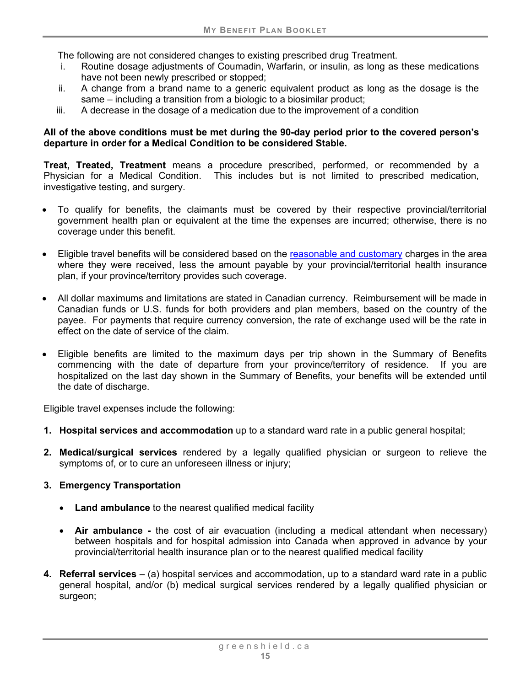The following are not considered changes to existing prescribed drug Treatment.

- i. Routine dosage adjustments of Coumadin, Warfarin, or insulin, as long as these medications have not been newly prescribed or stopped;
- ii. A change from a brand name to a generic equivalent product as long as the dosage is the same – including a transition from a biologic to a biosimilar product;
- iii. A decrease in the dosage of a medication due to the improvement of a condition

#### **All of the above conditions must be met during the 90-day period prior to the covered person's departure in order for a Medical Condition to be considered Stable.**

<span id="page-18-0"></span>**Treat, Treated, Treatment** means a procedure prescribed, performed, or recommended by a Physician for a Medical Condition. This includes but is not limited to prescribed medication, investigative testing, and surgery.

- To qualify for benefits, the claimants must be covered by their respective provincial/territorial government health plan or equivalent at the time the expenses are incurred; otherwise, there is no coverage under this benefit.
- Eligible travel benefits will be considered based on the reasonable and customary charges in the area where they were received, less the amount payable by your provincial/territorial health insurance plan, if your province/territory provides such coverage.
- All dollar maximums and limitations are stated in Canadian currency. Reimbursement will be made in Canadian funds or U.S. funds for both providers and plan members, based on the country of the payee. For payments that require currency conversion, the rate of exchange used will be the rate in effect on the date of service of the claim.
- Eligible benefits are limited to the maximum days per trip shown in the Summary of Benefits commencing with the date of departure from your province/territory of residence. If you are hospitalized on the last day shown in the Summary of Benefits, your benefits will be extended until the date of discharge.

Eligible travel expenses include the following:

- **1. Hospital services and accommodation** up to a standard ward rate in a public general hospital;
- **2. Medical/surgical services** rendered by a legally qualified physician or surgeon to relieve the symptoms of, or to cure an unforeseen illness or injury;

#### **3. Emergency Transportation**

- **Land ambulance** to the nearest qualified medical facility
- **Air ambulance -** the cost of air evacuation (including a medical attendant when necessary) between hospitals and for hospital admission into Canada when approved in advance by your provincial/territorial health insurance plan or to the nearest qualified medical facility
- **4. Referral services** (a) hospital services and accommodation, up to a standard ward rate in a public general hospital, and/or (b) medical surgical services rendered by a legally qualified physician or surgeon;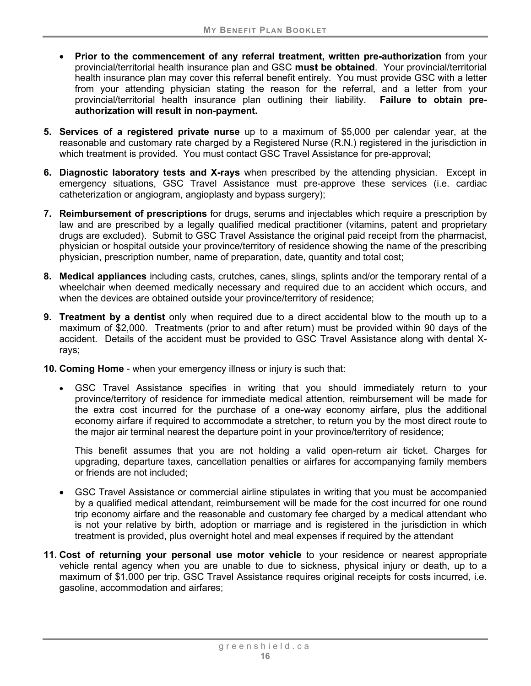- **Prior to the commencement of any referral treatment, written pre-authorization** from your provincial/territorial health insurance plan and GSC **must be obtained**. Your provincial/territorial health insurance plan may cover this referral benefit entirely. You must provide GSC with a letter from your attending physician stating the reason for the referral, and a letter from your provincial/territorial health insurance plan outlining their liability. **Failure to obtain preauthorization will result in non-payment.**
- **5. Services of a registered private nurse** up to a maximum of \$5,000 per calendar year, at the reasonable and customary rate charged by a Registered Nurse (R.N.) registered in the jurisdiction in which treatment is provided. You must contact GSC Travel Assistance for pre-approval;
- **6. Diagnostic laboratory tests and X-rays** when prescribed by the attending physician. Except in emergency situations, GSC Travel Assistance must pre-approve these services (i.e. cardiac catheterization or angiogram, angioplasty and bypass surgery);
- **7. Reimbursement of prescriptions** for drugs, serums and injectables which require a prescription by law and are prescribed by a legally qualified medical practitioner (vitamins, patent and proprietary drugs are excluded). Submit to GSC Travel Assistance the original paid receipt from the pharmacist, physician or hospital outside your province/territory of residence showing the name of the prescribing physician, prescription number, name of preparation, date, quantity and total cost;
- **8. Medical appliances** including casts, crutches, canes, slings, splints and/or the temporary rental of a wheelchair when deemed medically necessary and required due to an accident which occurs, and when the devices are obtained outside your province/territory of residence;
- **9. Treatment by a dentist** only when required due to a direct accidental blow to the mouth up to a maximum of \$2,000. Treatments (prior to and after return) must be provided within 90 days of the accident. Details of the accident must be provided to GSC Travel Assistance along with dental Xrays;
- **10. Coming Home** when your emergency illness or injury is such that:
	- GSC Travel Assistance specifies in writing that you should immediately return to your province/territory of residence for immediate medical attention, reimbursement will be made for the extra cost incurred for the purchase of a one-way economy airfare, plus the additional economy airfare if required to accommodate a stretcher, to return you by the most direct route to the major air terminal nearest the departure point in your province/territory of residence;

This benefit assumes that you are not holding a valid open-return air ticket. Charges for upgrading, departure taxes, cancellation penalties or airfares for accompanying family members or friends are not included;

- GSC Travel Assistance or commercial airline stipulates in writing that you must be accompanied by a qualified medical attendant, reimbursement will be made for the cost incurred for one round trip economy airfare and the reasonable and customary fee charged by a medical attendant who is not your relative by birth, adoption or marriage and is registered in the jurisdiction in which treatment is provided, plus overnight hotel and meal expenses if required by the attendant
- **11. Cost of returning your personal use motor vehicle** to your residence or nearest appropriate vehicle rental agency when you are unable to due to sickness, physical injury or death, up to a maximum of \$1,000 per trip. GSC Travel Assistance requires original receipts for costs incurred, i.e. gasoline, accommodation and airfares;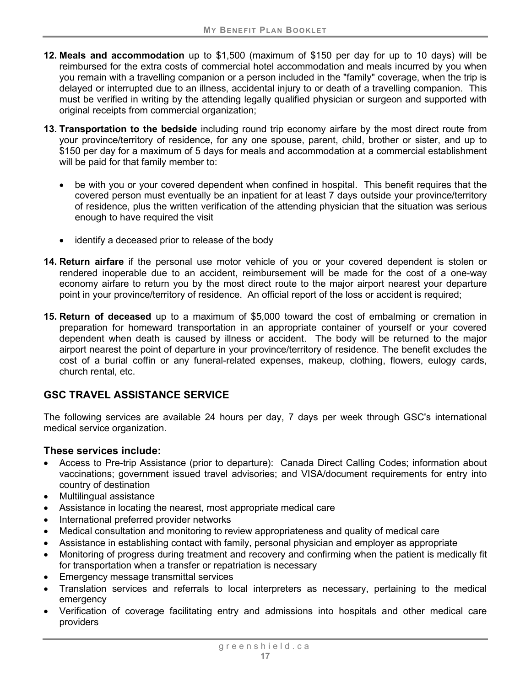- **12. Meals and accommodation** up to \$1,500 (maximum of \$150 per day for up to 10 days) will be reimbursed for the extra costs of commercial hotel accommodation and meals incurred by you when you remain with a travelling companion or a person included in the "family" coverage, when the trip is delayed or interrupted due to an illness, accidental injury to or death of a travelling companion. This must be verified in writing by the attending legally qualified physician or surgeon and supported with original receipts from commercial organization;
- **13. Transportation to the bedside** including round trip economy airfare by the most direct route from your province/territory of residence, for any one spouse, parent, child, brother or sister, and up to \$150 per day for a maximum of 5 days for meals and accommodation at a commercial establishment will be paid for that family member to:
	- be with you or your covered dependent when confined in hospital. This benefit requires that the covered person must eventually be an inpatient for at least 7 days outside your province/territory of residence, plus the written verification of the attending physician that the situation was serious enough to have required the visit
	- identify a deceased prior to release of the body
- **14. Return airfare** if the personal use motor vehicle of you or your covered dependent is stolen or rendered inoperable due to an accident, reimbursement will be made for the cost of a one-way economy airfare to return you by the most direct route to the major airport nearest your departure point in your province/territory of residence. An official report of the loss or accident is required;
- **15. Return of deceased** up to a maximum of \$5,000 toward the cost of embalming or cremation in preparation for homeward transportation in an appropriate container of yourself or your covered dependent when death is caused by illness or accident. The body will be returned to the major airport nearest the point of departure in your province/territory of residence. The benefit excludes the cost of a burial coffin or any funeral-related expenses, makeup, clothing, flowers, eulogy cards, church rental, etc.

## **GSC TRAVEL ASSISTANCE SERVICE**

The following services are available 24 hours per day, 7 days per week through GSC's international medical service organization.

## **These services include:**

- Access to Pre-trip Assistance (prior to departure): Canada Direct Calling Codes; information about vaccinations; government issued travel advisories; and VISA/document requirements for entry into country of destination
- Multilingual assistance
- Assistance in locating the nearest, most appropriate medical care
- International preferred provider networks
- Medical consultation and monitoring to review appropriateness and quality of medical care
- Assistance in establishing contact with family, personal physician and employer as appropriate
- Monitoring of progress during treatment and recovery and confirming when the patient is medically fit for transportation when a transfer or repatriation is necessary
- Emergency message transmittal services
- Translation services and referrals to local interpreters as necessary, pertaining to the medical emergency
- Verification of coverage facilitating entry and admissions into hospitals and other medical care providers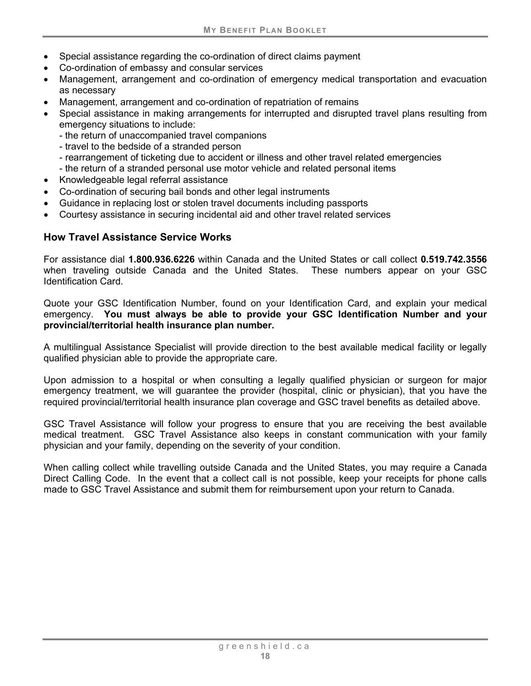- Special assistance regarding the co-ordination of direct claims payment
- Co-ordination of embassy and consular services
- Management, arrangement and co-ordination of emergency medical transportation and evacuation as necessary
- Management, arrangement and co-ordination of repatriation of remains
- Special assistance in making arrangements for interrupted and disrupted travel plans resulting from emergency situations to include:
	- the return of unaccompanied travel companions
	- travel to the bedside of a stranded person
	- rearrangement of ticketing due to accident or illness and other travel related emergencies
	- the return of a stranded personal use motor vehicle and related personal items
- Knowledgeable legal referral assistance
- Co-ordination of securing bail bonds and other legal instruments
- Guidance in replacing lost or stolen travel documents including passports
- Courtesy assistance in securing incidental aid and other travel related services

## **How Travel Assistance Service Works**

For assistance dial **1.800.936.6226** within Canada and the United States or call collect **0.519.742.3556**  when traveling outside Canada and the United States. These numbers appear on your GSC Identification Card.

Quote your GSC Identification Number, found on your Identification Card, and explain your medical emergency. **You must always be able to provide your GSC Identification Number and your provincial/territorial health insurance plan number.**

A multilingual Assistance Specialist will provide direction to the best available medical facility or legally qualified physician able to provide the appropriate care.

Upon admission to a hospital or when consulting a legally qualified physician or surgeon for major emergency treatment, we will guarantee the provider (hospital, clinic or physician), that you have the required provincial/territorial health insurance plan coverage and GSC travel benefits as detailed above.

GSC Travel Assistance will follow your progress to ensure that you are receiving the best available medical treatment. GSC Travel Assistance also keeps in constant communication with your family physician and your family, depending on the severity of your condition.

When calling collect while travelling outside Canada and the United States, you may require a Canada Direct Calling Code. In the event that a collect call is not possible, keep your receipts for phone calls made to GSC Travel Assistance and submit them for reimbursement upon your return to Canada.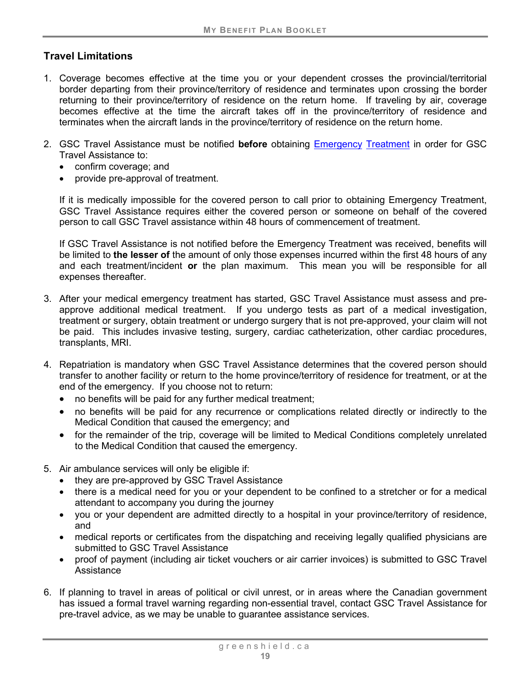## **Travel Limitations**

- 1. Coverage becomes effective at the time you or your dependent crosses the provincial/territorial border departing from their province/territory of residence and terminates upon crossing the border returning to their province/territory of residence on the return home. If traveling by air, coverage becomes effective at the time the aircraft takes off in the province/territory of residence and terminates when the aircraft lands in the province/territory of residence on the return home.
- 2. GSC Travel Assistance must be notified **before** obtaining Emergency [Treatment](#page-18-0) in order for GSC Travel Assistance to:
	- confirm coverage; and
	- provide pre-approval of treatment.

If it is medically impossible for the covered person to call prior to obtaining Emergency Treatment, GSC Travel Assistance requires either the covered person or someone on behalf of the covered person to call GSC Travel assistance within 48 hours of commencement of treatment.

If GSC Travel Assistance is not notified before the Emergency Treatment was received, benefits will be limited to **the lesser of** the amount of only those expenses incurred within the first 48 hours of any and each treatment/incident **or** the plan maximum. This mean you will be responsible for all expenses thereafter.

- 3. After your medical emergency treatment has started, GSC Travel Assistance must assess and preapprove additional medical treatment. If you undergo tests as part of a medical investigation, treatment or surgery, obtain treatment or undergo surgery that is not pre-approved, your claim will not be paid. This includes invasive testing, surgery, cardiac catheterization, other cardiac procedures, transplants, MRI.
- 4. Repatriation is mandatory when GSC Travel Assistance determines that the covered person should transfer to another facility or return to the home province/territory of residence for treatment, or at the end of the emergency. If you choose not to return:
	- no benefits will be paid for any further medical treatment;
	- no benefits will be paid for any recurrence or complications related directly or indirectly to the Medical Condition that caused the emergency; and
	- for the remainder of the trip, coverage will be limited to Medical Conditions completely unrelated to the Medical Condition that caused the emergency.
- 5. Air ambulance services will only be eligible if:
	- they are pre-approved by GSC Travel Assistance
	- there is a medical need for you or your dependent to be confined to a stretcher or for a medical attendant to accompany you during the journey
	- you or your dependent are admitted directly to a hospital in your province/territory of residence, and
	- medical reports or certificates from the dispatching and receiving legally qualified physicians are submitted to GSC Travel Assistance
	- proof of payment (including air ticket vouchers or air carrier invoices) is submitted to GSC Travel Assistance
- 6. If planning to travel in areas of political or civil unrest, or in areas where the Canadian government has issued a formal travel warning regarding non-essential travel, contact GSC Travel Assistance for pre-travel advice, as we may be unable to guarantee assistance services.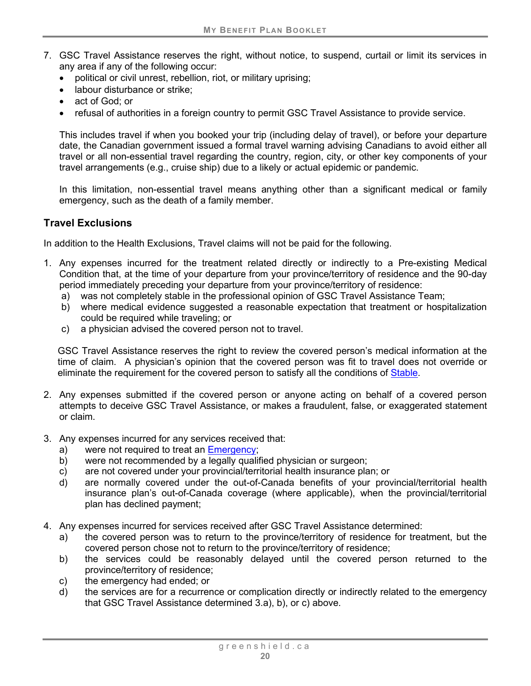- 7. GSC Travel Assistance reserves the right, without notice, to suspend, curtail or limit its services in any area if any of the following occur:
	- political or civil unrest, rebellion, riot, or military uprising;
	- labour disturbance or strike:
	- act of God; or
	- refusal of authorities in a foreign country to permit GSC Travel Assistance to provide service.

This includes travel if when you booked your trip (including delay of travel), or before your departure date, the Canadian government issued a formal travel warning advising Canadians to avoid either all travel or all non-essential travel regarding the country, region, city, or other key components of your travel arrangements (e.g., cruise ship) due to a likely or actual epidemic or pandemic.

In this limitation, non-essential travel means anything other than a significant medical or family emergency, such as the death of a family member.

## **Travel Exclusions**

In addition to the Health Exclusions, Travel claims will not be paid for the following.

- 1. Any expenses incurred for the treatment related directly or indirectly to a Pre-existing Medical Condition that, at the time of your departure from your province/territory of residence and the 90-day period immediately preceding your departure from your province/territory of residence:
	- a) was not completely stable in the professional opinion of GSC Travel Assistance Team;
	- b) where medical evidence suggested a reasonable expectation that treatment or hospitalization could be required while traveling; or
	- c) a physician advised the covered person not to travel.

GSC Travel Assistance reserves the right to review the covered person's medical information at the time of claim. A physician's opinion that the covered person was fit to travel does not override or eliminate the requirement for the covered person to satisfy all the conditions of [Stable.](#page-17-1)

- 2. Any expenses submitted if the covered person or anyone acting on behalf of a covered person attempts to deceive GSC Travel Assistance, or makes a fraudulent, false, or exaggerated statement or claim.
- 3. Any expenses incurred for any services received that:
	- a) were not required to treat an Emergency;
	- b) were not recommended by a legally qualified physician or surgeon;
	- c) are not covered under your provincial/territorial health insurance plan; or
	- d) are normally covered under the out-of-Canada benefits of your provincial/territorial health insurance plan's out-of-Canada coverage (where applicable), when the provincial/territorial plan has declined payment;
- 4. Any expenses incurred for services received after GSC Travel Assistance determined:
	- a) the covered person was to return to the province/territory of residence for treatment, but the covered person chose not to return to the province/territory of residence;
	- b) the services could be reasonably delayed until the covered person returned to the province/territory of residence;
	- c) the emergency had ended; or
	- d) the services are for a recurrence or complication directly or indirectly related to the emergency that GSC Travel Assistance determined 3.a), b), or c) above.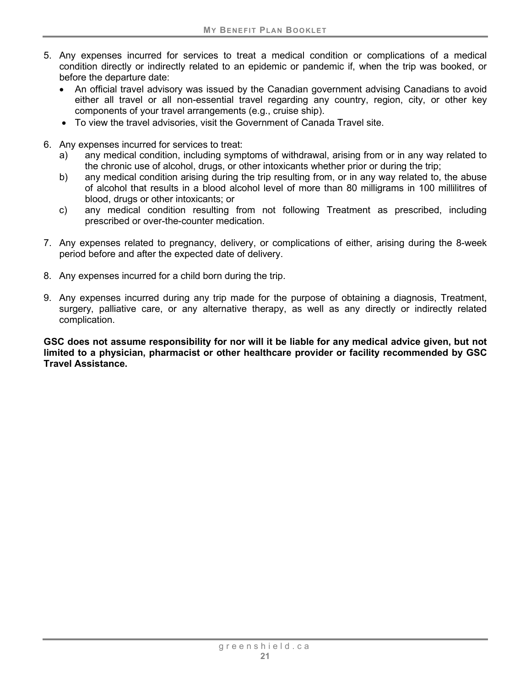- 5. Any expenses incurred for services to treat a medical condition or complications of a medical condition directly or indirectly related to an epidemic or pandemic if, when the trip was booked, or before the departure date:
	- An official travel advisory was issued by the Canadian government advising Canadians to avoid either all travel or all non-essential travel regarding any country, region, city, or other key components of your travel arrangements (e.g., cruise ship).
	- To view the travel advisories, visit the Government of Canada Travel site.
- 6. Any expenses incurred for services to treat:
	- a) any medical condition, including symptoms of withdrawal, arising from or in any way related to the chronic use of alcohol, drugs, or other intoxicants whether prior or during the trip;
	- b) any medical condition arising during the trip resulting from, or in any way related to, the abuse of alcohol that results in a blood alcohol level of more than 80 milligrams in 100 millilitres of blood, drugs or other intoxicants; or
	- c) any medical condition resulting from not following Treatment as prescribed, including prescribed or over-the-counter medication.
- 7. Any expenses related to pregnancy, delivery, or complications of either, arising during the 8-week period before and after the expected date of delivery.
- 8. Any expenses incurred for a child born during the trip.
- 9. Any expenses incurred during any trip made for the purpose of obtaining a diagnosis, Treatment, surgery, palliative care, or any alternative therapy, as well as any directly or indirectly related complication.

**GSC does not assume responsibility for nor will it be liable for any medical advice given, but not limited to a physician, pharmacist or other healthcare provider or facility recommended by GSC Travel Assistance.**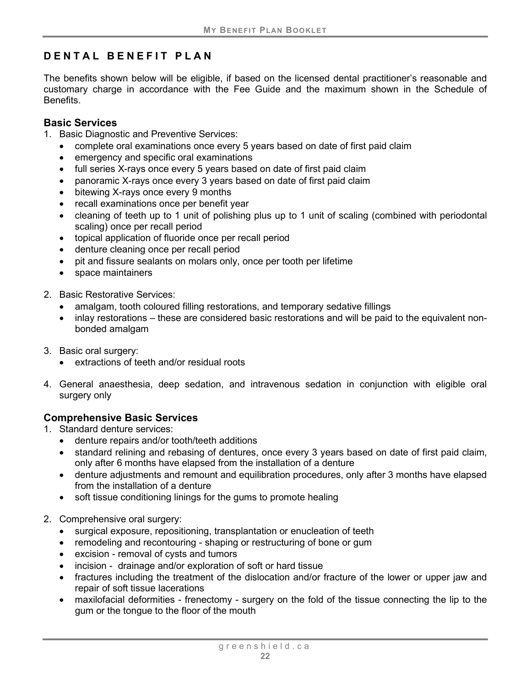# <span id="page-25-0"></span>**DENTAL BENEFIT PLAN**

The benefits shown below will be eligible, if based on the licensed dental practitioner's reasonable and customary charge in accordance with the Fee Guide and the maximum shown in the Schedule of Benefits.

## <span id="page-25-1"></span>**Basic Services**

- 1. Basic Diagnostic and Preventive Services:
	- complete oral examinations once every 5 years based on date of first paid claim
	- emergency and specific oral examinations
	- full series X-rays once every 5 years based on date of first paid claim
	- panoramic X-rays once every 3 years based on date of first paid claim
	- bitewing X-rays once every 9 months
	- recall examinations once per benefit year
	- cleaning of teeth up to 1 unit of polishing plus up to 1 unit of scaling (combined with periodontal scaling) once per recall period
	- topical application of fluoride once per recall period
	- denture cleaning once per recall period
	- pit and fissure sealants on molars only, once per tooth per lifetime
	- space maintainers
- 2. Basic Restorative Services:
	- amalgam, tooth coloured filling restorations, and temporary sedative fillings
	- inlay restorations these are considered basic restorations and will be paid to the equivalent nonbonded amalgam
- 3. Basic oral surgery:
	- extractions of teeth and/or residual roots
- 4. General anaesthesia, deep sedation, and intravenous sedation in conjunction with eligible oral surgery only

## <span id="page-25-2"></span>**Comprehensive Basic Services**

- 1. Standard denture services:
	- denture repairs and/or tooth/teeth additions
	- standard relining and rebasing of dentures, once every 3 years based on date of first paid claim, only after 6 months have elapsed from the installation of a denture
	- denture adjustments and remount and equilibration procedures, only after 3 months have elapsed from the installation of a denture
	- soft tissue conditioning linings for the gums to promote healing
- 2. Comprehensive oral surgery:
	- surgical exposure, repositioning, transplantation or enucleation of teeth
	- remodeling and recontouring shaping or restructuring of bone or gum
	- excision removal of cysts and tumors
	- incision drainage and/or exploration of soft or hard tissue
	- fractures including the treatment of the dislocation and/or fracture of the lower or upper jaw and repair of soft tissue lacerations
	- maxilofacial deformities frenectomy surgery on the fold of the tissue connecting the lip to the gum or the tongue to the floor of the mouth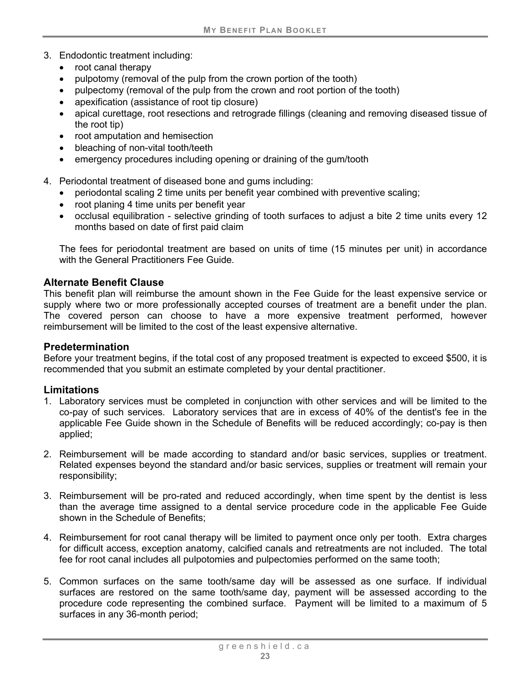- 3. Endodontic treatment including:
	- root canal therapy
	- pulpotomy (removal of the pulp from the crown portion of the tooth)
	- pulpectomy (removal of the pulp from the crown and root portion of the tooth)
	- apexification (assistance of root tip closure)
	- apical curettage, root resections and retrograde fillings (cleaning and removing diseased tissue of the root tip)
	- root amputation and hemisection
	- bleaching of non-vital tooth/teeth
	- emergency procedures including opening or draining of the gum/tooth
- 4. Periodontal treatment of diseased bone and gums including:
	- periodontal scaling 2 time units per benefit year combined with preventive scaling;
	- root planing 4 time units per benefit year
	- occlusal equilibration selective grinding of tooth surfaces to adjust a bite 2 time units every 12 months based on date of first paid claim

The fees for periodontal treatment are based on units of time (15 minutes per unit) in accordance with the General Practitioners Fee Guide.

## **Alternate Benefit Clause**

This benefit plan will reimburse the amount shown in the Fee Guide for the least expensive service or supply where two or more professionally accepted courses of treatment are a benefit under the plan. The covered person can choose to have a more expensive treatment performed, however reimbursement will be limited to the cost of the least expensive alternative.

## **Predetermination**

Before your treatment begins, if the total cost of any proposed treatment is expected to exceed \$500, it is recommended that you submit an estimate completed by your dental practitioner.

## **Limitations**

- 1. Laboratory services must be completed in conjunction with other services and will be limited to the co-pay of such services. Laboratory services that are in excess of 40% of the dentist's fee in the applicable Fee Guide shown in the Schedule of Benefits will be reduced accordingly; co-pay is then applied;
- 2. Reimbursement will be made according to standard and/or basic services, supplies or treatment. Related expenses beyond the standard and/or basic services, supplies or treatment will remain your responsibility;
- 3. Reimbursement will be pro-rated and reduced accordingly, when time spent by the dentist is less than the average time assigned to a dental service procedure code in the applicable Fee Guide shown in the Schedule of Benefits;
- 4. Reimbursement for root canal therapy will be limited to payment once only per tooth. Extra charges for difficult access, exception anatomy, calcified canals and retreatments are not included. The total fee for root canal includes all pulpotomies and pulpectomies performed on the same tooth;
- 5. Common surfaces on the same tooth/same day will be assessed as one surface. If individual surfaces are restored on the same tooth/same day, payment will be assessed according to the procedure code representing the combined surface. Payment will be limited to a maximum of 5 surfaces in any 36-month period;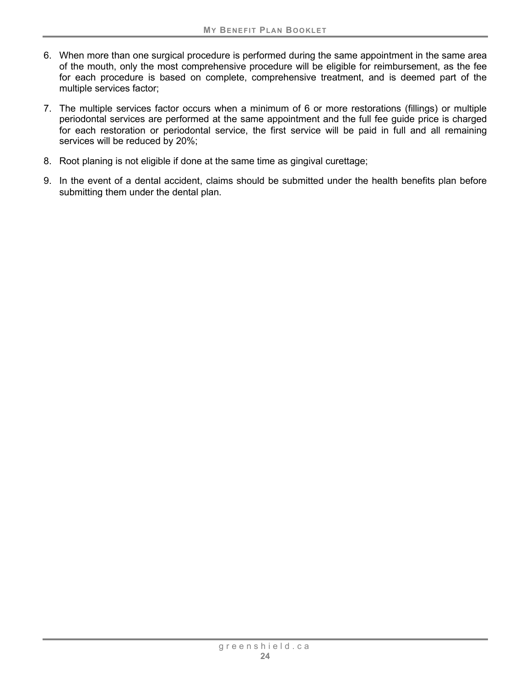- 6. When more than one surgical procedure is performed during the same appointment in the same area of the mouth, only the most comprehensive procedure will be eligible for reimbursement, as the fee for each procedure is based on complete, comprehensive treatment, and is deemed part of the multiple services factor;
- 7. The multiple services factor occurs when a minimum of 6 or more restorations (fillings) or multiple periodontal services are performed at the same appointment and the full fee guide price is charged for each restoration or periodontal service, the first service will be paid in full and all remaining services will be reduced by 20%;
- 8. Root planing is not eligible if done at the same time as gingival curettage;
- 9. In the event of a dental accident, claims should be submitted under the health benefits plan before submitting them under the dental plan.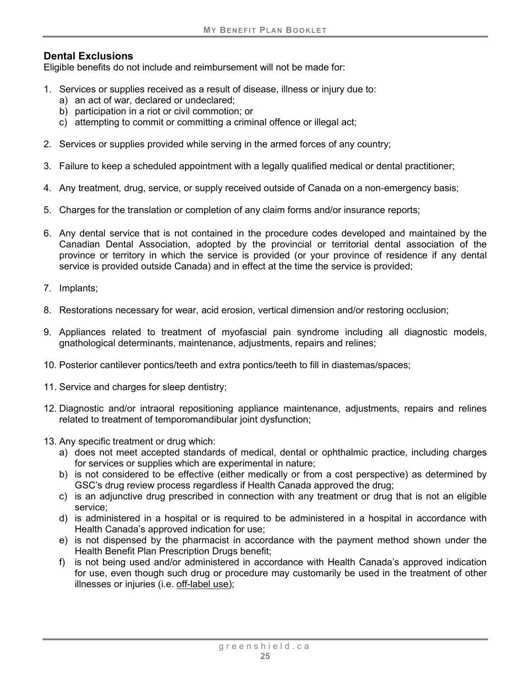## **Dental Exclusions**

Eligible benefits do not include and reimbursement will not be made for:

- 1. Services or supplies received as a result of disease, illness or injury due to:
	- a) an act of war, declared or undeclared;
	- b) participation in a riot or civil commotion; or
	- c) attempting to commit or committing a criminal offence or illegal act;
- 2. Services or supplies provided while serving in the armed forces of any country;
- 3. Failure to keep a scheduled appointment with a legally qualified medical or dental practitioner;
- 4. Any treatment, drug, service, or supply received outside of Canada on a non-emergency basis;
- 5. Charges for the translation or completion of any claim forms and/or insurance reports;
- 6. Any dental service that is not contained in the procedure codes developed and maintained by the Canadian Dental Association, adopted by the provincial or territorial dental association of the province or territory in which the service is provided (or your province of residence if any dental service is provided outside Canada) and in effect at the time the service is provided;
- 7. Implants;
- 8. Restorations necessary for wear, acid erosion, vertical dimension and/or restoring occlusion;
- 9. Appliances related to treatment of myofascial pain syndrome including all diagnostic models, gnathological determinants, maintenance, adjustments, repairs and relines;
- 10. Posterior cantilever pontics/teeth and extra pontics/teeth to fill in diastemas/spaces;
- 11. Service and charges for sleep dentistry;
- 12. Diagnostic and/or intraoral repositioning appliance maintenance, adjustments, repairs and relines related to treatment of temporomandibular joint dysfunction;
- 13. Any specific treatment or drug which:
	- a) does not meet accepted standards of medical, dental or ophthalmic practice, including charges for services or supplies which are experimental in nature;
	- b) is not considered to be effective (either medically or from a cost perspective) as determined by GSC's drug review process regardless if Health Canada approved the drug;
	- c) is an adjunctive drug prescribed in connection with any treatment or drug that is not an eligible service;
	- d) is administered in a hospital or is required to be administered in a hospital in accordance with Health Canada's approved indication for use;
	- e) is not dispensed by the pharmacist in accordance with the payment method shown under the Health Benefit Plan Prescription Drugs benefit;
	- f) is not being used and/or administered in accordance with Health Canada's approved indication for use, even though such drug or procedure may customarily be used in the treatment of other illnesses or injuries (i.e. [off-label use\)](#page-9-0);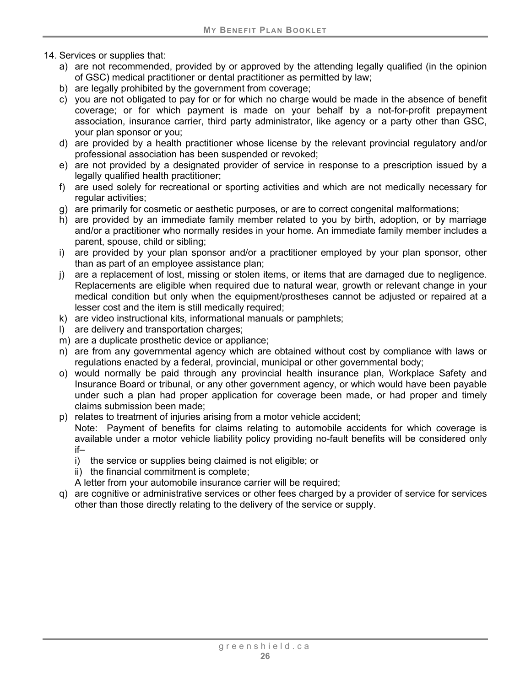- 14. Services or supplies that:
	- a) are not recommended, provided by or approved by the attending legally qualified (in the opinion of GSC) medical practitioner or dental practitioner as permitted by law;
	- b) are legally prohibited by the government from coverage;
	- c) you are not obligated to pay for or for which no charge would be made in the absence of benefit coverage; or for which payment is made on your behalf by a not-for-profit prepayment association, insurance carrier, third party administrator, like agency or a party other than GSC, your plan sponsor or you;
	- d) are provided by a health practitioner whose license by the relevant provincial regulatory and/or professional association has been suspended or revoked;
	- e) are not provided by a designated provider of service in response to a prescription issued by a legally qualified health practitioner;
	- f) are used solely for recreational or sporting activities and which are not medically necessary for regular activities;
	- g) are primarily for cosmetic or aesthetic purposes, or are to correct congenital malformations;
	- h) are provided by an immediate family member related to you by birth, adoption, or by marriage and/or a practitioner who normally resides in your home. An immediate family member includes a parent, spouse, child or sibling;
	- i) are provided by your plan sponsor and/or a practitioner employed by your plan sponsor, other than as part of an employee assistance plan;
	- j) are a replacement of lost, missing or stolen items, or items that are damaged due to negligence. Replacements are eligible when required due to natural wear, growth or relevant change in your medical condition but only when the equipment/prostheses cannot be adjusted or repaired at a lesser cost and the item is still medically required;
	- k) are video instructional kits, informational manuals or pamphlets;
	- l) are delivery and transportation charges;
	- m) are a duplicate prosthetic device or appliance;
	- n) are from any governmental agency which are obtained without cost by compliance with laws or regulations enacted by a federal, provincial, municipal or other governmental body;
	- o) would normally be paid through any provincial health insurance plan, Workplace Safety and Insurance Board or tribunal, or any other government agency, or which would have been payable under such a plan had proper application for coverage been made, or had proper and timely claims submission been made;
	- p) relates to treatment of injuries arising from a motor vehicle accident;

Note: Payment of benefits for claims relating to automobile accidents for which coverage is available under a motor vehicle liability policy providing no-fault benefits will be considered only if–

- i) the service or supplies being claimed is not eligible; or
- ii) the financial commitment is complete;
- A letter from your automobile insurance carrier will be required;
- q) are cognitive or administrative services or other fees charged by a provider of service for services other than those directly relating to the delivery of the service or supply.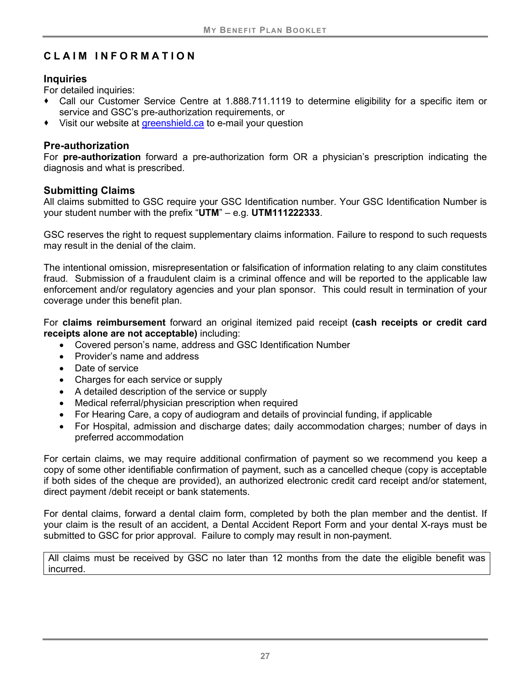# <span id="page-30-0"></span>**CLAIM INFORMATION**

## **Inquiries**

For detailed inquiries:

- Call our Customer Service Centre at 1.888.711.1119 to determine eligibility for a specific item or service and GSC's pre-authorization requirements, or
- Visit our website at greenshield ca to e-mail your question

## **Pre-authorization**

For **pre-authorization** forward a pre-authorization form OR a physician's prescription indicating the diagnosis and what is prescribed.

## **Submitting Claims**

All claims submitted to GSC require your GSC Identification number. Your GSC Identification Number is your student number with the prefix "**UTM**" – e.g. **UTM111222333**.

GSC reserves the right to request supplementary claims information. Failure to respond to such requests may result in the denial of the claim.

The intentional omission, misrepresentation or falsification of information relating to any claim constitutes fraud. Submission of a fraudulent claim is a criminal offence and will be reported to the applicable law enforcement and/or regulatory agencies and your plan sponsor. This could result in termination of your coverage under this benefit plan.

For **claims reimbursement** forward an original itemized paid receipt **(cash receipts or credit card receipts alone are not acceptable)** including:

- Covered person's name, address and GSC Identification Number
- Provider's name and address
- Date of service
- Charges for each service or supply
- A detailed description of the service or supply
- Medical referral/physician prescription when required
- For Hearing Care, a copy of audiogram and details of provincial funding, if applicable
- For Hospital, admission and discharge dates; daily accommodation charges; number of days in preferred accommodation

For certain claims, we may require additional confirmation of payment so we recommend you keep a copy of some other identifiable confirmation of payment, such as a cancelled cheque (copy is acceptable if both sides of the cheque are provided), an authorized electronic credit card receipt and/or statement, direct payment /debit receipt or bank statements.

For dental claims, forward a dental claim form, completed by both the plan member and the dentist. If your claim is the result of an accident, a Dental Accident Report Form and your dental X-rays must be submitted to GSC for prior approval. Failure to comply may result in non-payment.

All claims must be received by GSC no later than 12 months from the date the eligible benefit was incurred.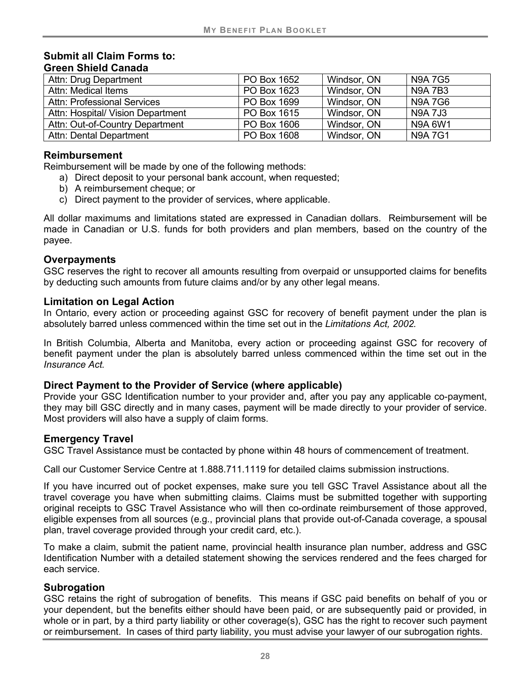#### **Submit all Claim Forms to: Green Shield Canada**

| Attn: Drug Department              | PO Box 1652 | Windsor, ON | <b>N9A7G5</b>  |
|------------------------------------|-------------|-------------|----------------|
| Attn: Medical Items                | PO Box 1623 | Windsor, ON | <b>N9A7B3</b>  |
| <b>Attn: Professional Services</b> | PO Box 1699 | Windsor, ON | N9A 7G6        |
| Attn: Hospital/ Vision Department  | PO Box 1615 | Windsor, ON | <b>N9A 7J3</b> |
| Attn: Out-of-Country Department    | PO Box 1606 | Windsor, ON | N9A 6W1        |
| <b>Attn: Dental Department</b>     | PO Box 1608 | Windsor, ON | <b>N9A7G1</b>  |

## **Reimbursement**

Reimbursement will be made by one of the following methods:

- a) Direct deposit to your personal bank account, when requested;
- b) A reimbursement cheque; or
- c) Direct payment to the provider of services, where applicable.

All dollar maximums and limitations stated are expressed in Canadian dollars. Reimbursement will be made in Canadian or U.S. funds for both providers and plan members, based on the country of the payee.

#### **Overpayments**

GSC reserves the right to recover all amounts resulting from overpaid or unsupported claims for benefits by deducting such amounts from future claims and/or by any other legal means.

#### **Limitation on Legal Action**

In Ontario, every action or proceeding against GSC for recovery of benefit payment under the plan is absolutely barred unless commenced within the time set out in the *Limitations Act, 2002.*

In British Columbia, Alberta and Manitoba, every action or proceeding against GSC for recovery of benefit payment under the plan is absolutely barred unless commenced within the time set out in the *Insurance Act.*

## **Direct Payment to the Provider of Service (where applicable)**

Provide your GSC Identification number to your provider and, after you pay any applicable co-payment, they may bill GSC directly and in many cases, payment will be made directly to your provider of service. Most providers will also have a supply of claim forms.

## **Emergency Travel**

GSC Travel Assistance must be contacted by phone within 48 hours of commencement of treatment.

Call our Customer Service Centre at 1.888.711.1119 for detailed claims submission instructions.

If you have incurred out of pocket expenses, make sure you tell GSC Travel Assistance about all the travel coverage you have when submitting claims. Claims must be submitted together with supporting original receipts to GSC Travel Assistance who will then co-ordinate reimbursement of those approved, eligible expenses from all sources (e.g., provincial plans that provide out-of-Canada coverage, a spousal plan, travel coverage provided through your credit card, etc.).

To make a claim, submit the patient name, provincial health insurance plan number, address and GSC Identification Number with a detailed statement showing the services rendered and the fees charged for each service.

#### **Subrogation**

GSC retains the right of subrogation of benefits. This means if GSC paid benefits on behalf of you or your dependent, but the benefits either should have been paid, or are subsequently paid or provided, in whole or in part, by a third party liability or other coverage(s), GSC has the right to recover such payment or reimbursement. In cases of third party liability, you must advise your lawyer of our subrogation rights.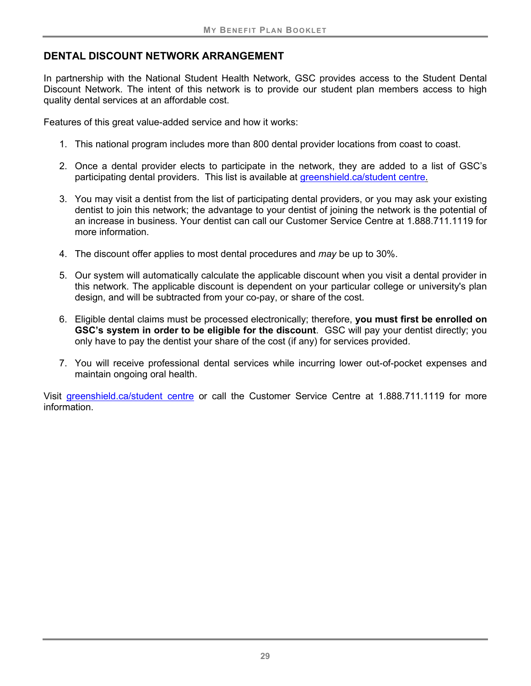## **DENTAL DISCOUNT NETWORK ARRANGEMENT**

In partnership with the National Student Health Network, GSC provides access to the Student Dental Discount Network. The intent of this network is to provide our student plan members access to high quality dental services at an affordable cost.

Features of this great value-added service and how it works:

- 1. This national program includes more than 800 dental provider locations from coast to coast.
- 2. Once a dental provider elects to participate in the network, they are added to a list of GSC's participating dental providers. This list is available at [greenshield.ca/student centre.](https://www.greenshield.ca/en-ca/student-centre)
- 3. You may visit a dentist from the list of participating dental providers, or you may ask your existing dentist to join this network; the advantage to your dentist of joining the network is the potential of an increase in business. Your dentist can call our Customer Service Centre at 1.888.711.1119 for more information.
- 4. The discount offer applies to most dental procedures and *may* be up to 30%.
- 5. Our system will automatically calculate the applicable discount when you visit a dental provider in this network. The applicable discount is dependent on your particular college or university's plan design, and will be subtracted from your co-pay, or share of the cost.
- 6. Eligible dental claims must be processed electronically; therefore, **you must first be enrolled on GSC's system in order to be eligible for the discount**. GSC will pay your dentist directly; you only have to pay the dentist your share of the cost (if any) for services provided.
- 7. You will receive professional dental services while incurring lower out-of-pocket expenses and maintain ongoing oral health.

Visit [greenshield.ca/student centre](https://www.greenshield.ca/en-ca/student-centre) or call the Customer Service Centre at 1.888.711.1119 for more information.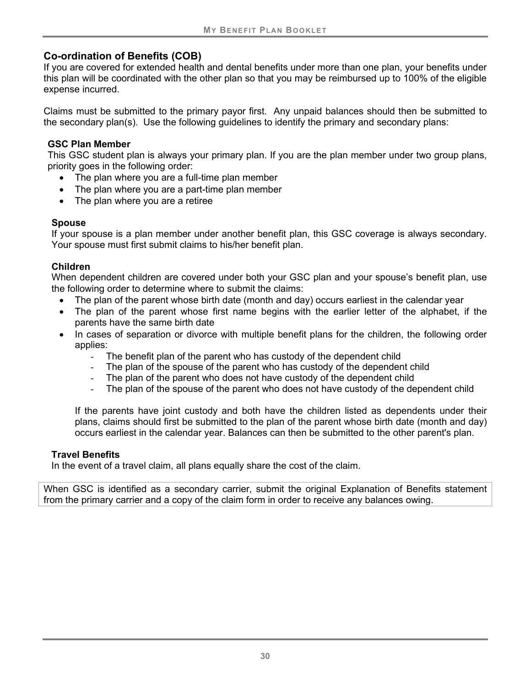## **Co-ordination of Benefits (COB)**

If you are covered for extended health and dental benefits under more than one plan, your benefits under this plan will be coordinated with the other plan so that you may be reimbursed up to 100% of the eligible expense incurred.

Claims must be submitted to the primary payor first. Any unpaid balances should then be submitted to the secondary plan(s). Use the following guidelines to identify the primary and secondary plans:

## **GSC Plan Member**

This GSC student plan is always your primary plan. If you are the plan member under two group plans, priority goes in the following order:

- The plan where you are a full-time plan member
- The plan where you are a part-time plan member
- The plan where you are a retiree

## **Spouse**

If your spouse is a plan member under another benefit plan, this GSC coverage is always secondary. Your spouse must first submit claims to his/her benefit plan.

## **Children**

When dependent children are covered under both your GSC plan and your spouse's benefit plan, use the following order to determine where to submit the claims:

- The plan of the parent whose birth date (month and day) occurs earliest in the calendar year
- The plan of the parent whose first name begins with the earlier letter of the alphabet, if the parents have the same birth date
- In cases of separation or divorce with multiple benefit plans for the children, the following order applies:
	- The benefit plan of the parent who has custody of the dependent child
	- The plan of the spouse of the parent who has custody of the dependent child
	- The plan of the parent who does not have custody of the dependent child
	- The plan of the spouse of the parent who does not have custody of the dependent child

If the parents have joint custody and both have the children listed as dependents under their plans, claims should first be submitted to the plan of the parent whose birth date (month and day) occurs earliest in the calendar year. Balances can then be submitted to the other parent's plan.

## **Travel Benefits**

In the event of a travel claim, all plans equally share the cost of the claim.

When GSC is identified as a secondary carrier, submit the original Explanation of Benefits statement from the primary carrier and a copy of the claim form in order to receive any balances owing.